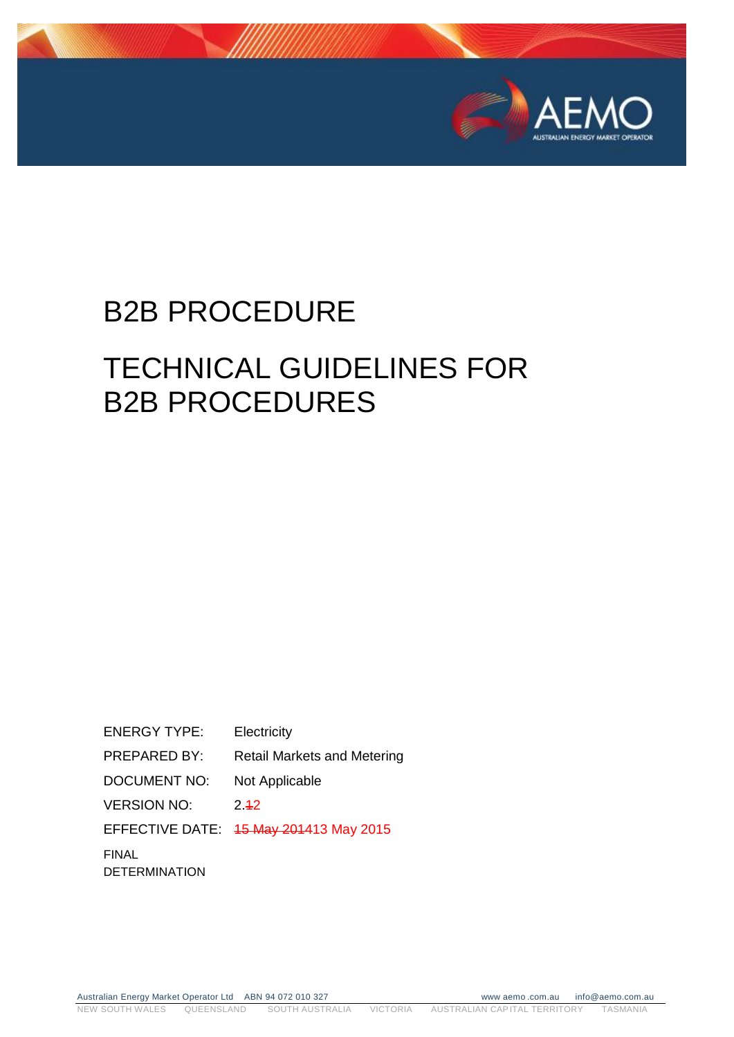

# B2B PROCEDURE

# TECHNICAL GUIDELINES FOR B2B PROCEDURES

ENERGY TYPE: Electricity PREPARED BY: Retail Markets and Metering DOCUMENT NO: Not Applicable VERSION NO: 2.42 EFFECTIVE DATE: 15 May 201413 May 2015 FINAL **DETERMINATION** 

Australian Energy Market Operator Ltd ABN 94 072 010 327 www.aemo.com.au info@aemo.com.au NEW SOUTH WALES QUEENSLAND SOUTH AUSTRALIA VICTORIA AUSTRALIAN CAPITAL TERRITORY TASMANIA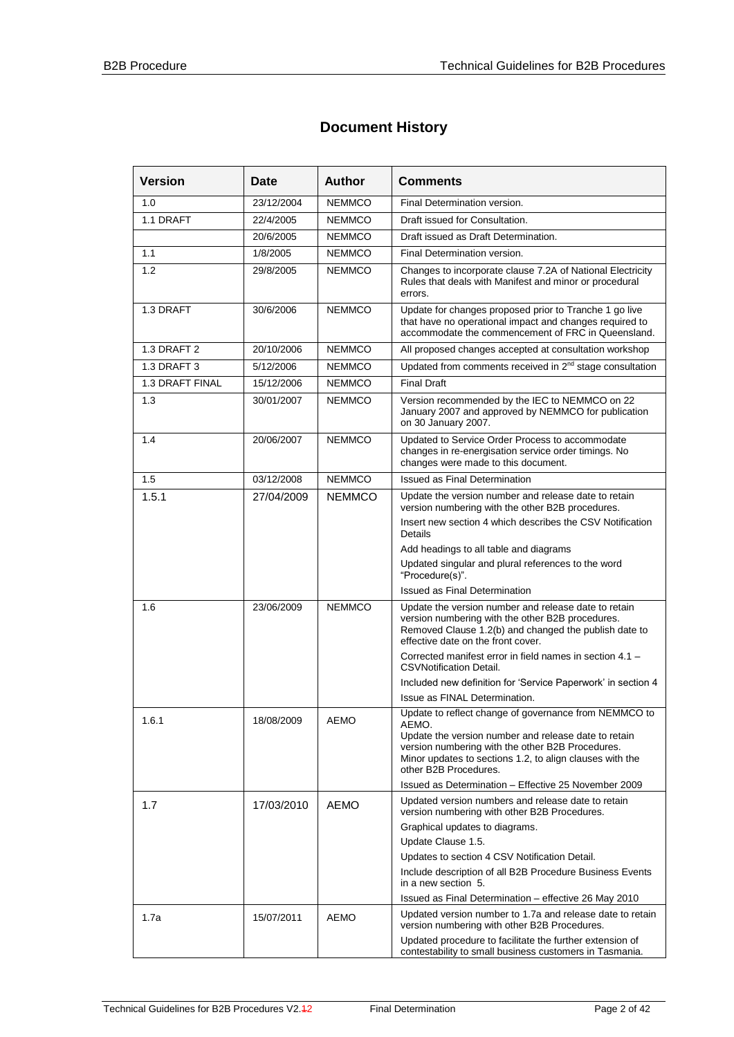## **Document History**

| <b>Version</b>  | Date       | <b>Author</b> | <b>Comments</b>                                                                                                                                                                                         |  |
|-----------------|------------|---------------|---------------------------------------------------------------------------------------------------------------------------------------------------------------------------------------------------------|--|
| 1.0             | 23/12/2004 | <b>NEMMCO</b> | Final Determination version.                                                                                                                                                                            |  |
| 1.1 DRAFT       | 22/4/2005  | <b>NEMMCO</b> | Draft issued for Consultation.                                                                                                                                                                          |  |
|                 | 20/6/2005  | <b>NEMMCO</b> | Draft issued as Draft Determination.                                                                                                                                                                    |  |
| 1.1             | 1/8/2005   | <b>NEMMCO</b> | Final Determination version.                                                                                                                                                                            |  |
| 1.2             | 29/8/2005  | <b>NEMMCO</b> | Changes to incorporate clause 7.2A of National Electricity<br>Rules that deals with Manifest and minor or procedural<br>errors.                                                                         |  |
| 1.3 DRAFT       | 30/6/2006  | <b>NEMMCO</b> | Update for changes proposed prior to Tranche 1 go live<br>that have no operational impact and changes required to<br>accommodate the commencement of FRC in Queensland.                                 |  |
| 1.3 DRAFT 2     | 20/10/2006 | <b>NEMMCO</b> | All proposed changes accepted at consultation workshop                                                                                                                                                  |  |
| 1.3 DRAFT 3     | 5/12/2006  | <b>NEMMCO</b> | Updated from comments received in 2 <sup>nd</sup> stage consultation                                                                                                                                    |  |
| 1.3 DRAFT FINAL | 15/12/2006 | <b>NEMMCO</b> | <b>Final Draft</b>                                                                                                                                                                                      |  |
| 1.3             | 30/01/2007 | <b>NEMMCO</b> | Version recommended by the IEC to NEMMCO on 22<br>January 2007 and approved by NEMMCO for publication<br>on 30 January 2007.                                                                            |  |
| 1.4             | 20/06/2007 | <b>NEMMCO</b> | Updated to Service Order Process to accommodate<br>changes in re-energisation service order timings. No<br>changes were made to this document.                                                          |  |
| 1.5             | 03/12/2008 | <b>NEMMCO</b> | <b>Issued as Final Determination</b>                                                                                                                                                                    |  |
| 1.5.1           | 27/04/2009 | <b>NEMMCO</b> | Update the version number and release date to retain<br>version numbering with the other B2B procedures.                                                                                                |  |
|                 |            |               | Insert new section 4 which describes the CSV Notification<br>Details                                                                                                                                    |  |
|                 |            |               | Add headings to all table and diagrams                                                                                                                                                                  |  |
|                 |            |               | Updated singular and plural references to the word<br>"Procedure(s)".                                                                                                                                   |  |
|                 |            |               | <b>Issued as Final Determination</b>                                                                                                                                                                    |  |
| 1.6             | 23/06/2009 | <b>NEMMCO</b> | Update the version number and release date to retain<br>version numbering with the other B2B procedures.<br>Removed Clause 1.2(b) and changed the publish date to<br>effective date on the front cover. |  |
|                 |            |               | Corrected manifest error in field names in section 4.1 -<br><b>CSVNotification Detail.</b>                                                                                                              |  |
|                 |            |               | Included new definition for 'Service Paperwork' in section 4                                                                                                                                            |  |
|                 |            |               | Issue as FINAL Determination.                                                                                                                                                                           |  |
| 1.6.1           | 18/08/2009 | <b>AEMO</b>   | Update to reflect change of governance from NEMMCO to<br>AEMO.                                                                                                                                          |  |
|                 |            |               | Update the version number and release date to retain<br>version numbering with the other B2B Procedures.<br>Minor updates to sections 1.2, to align clauses with the<br>other B2B Procedures.           |  |
|                 |            |               | Issued as Determination - Effective 25 November 2009                                                                                                                                                    |  |
| 1.7             | 17/03/2010 | <b>AEMO</b>   | Updated version numbers and release date to retain<br>version numbering with other B2B Procedures.                                                                                                      |  |
|                 |            |               | Graphical updates to diagrams.                                                                                                                                                                          |  |
|                 |            |               | Update Clause 1.5.                                                                                                                                                                                      |  |
|                 |            |               | Updates to section 4 CSV Notification Detail.                                                                                                                                                           |  |
|                 |            |               | Include description of all B2B Procedure Business Events<br>in a new section 5.                                                                                                                         |  |
|                 |            |               | Issued as Final Determination - effective 26 May 2010                                                                                                                                                   |  |
| 1.7a            | 15/07/2011 | <b>AEMO</b>   | Updated version number to 1.7a and release date to retain<br>version numbering with other B2B Procedures.                                                                                               |  |
|                 |            |               | Updated procedure to facilitate the further extension of<br>contestability to small business customers in Tasmania.                                                                                     |  |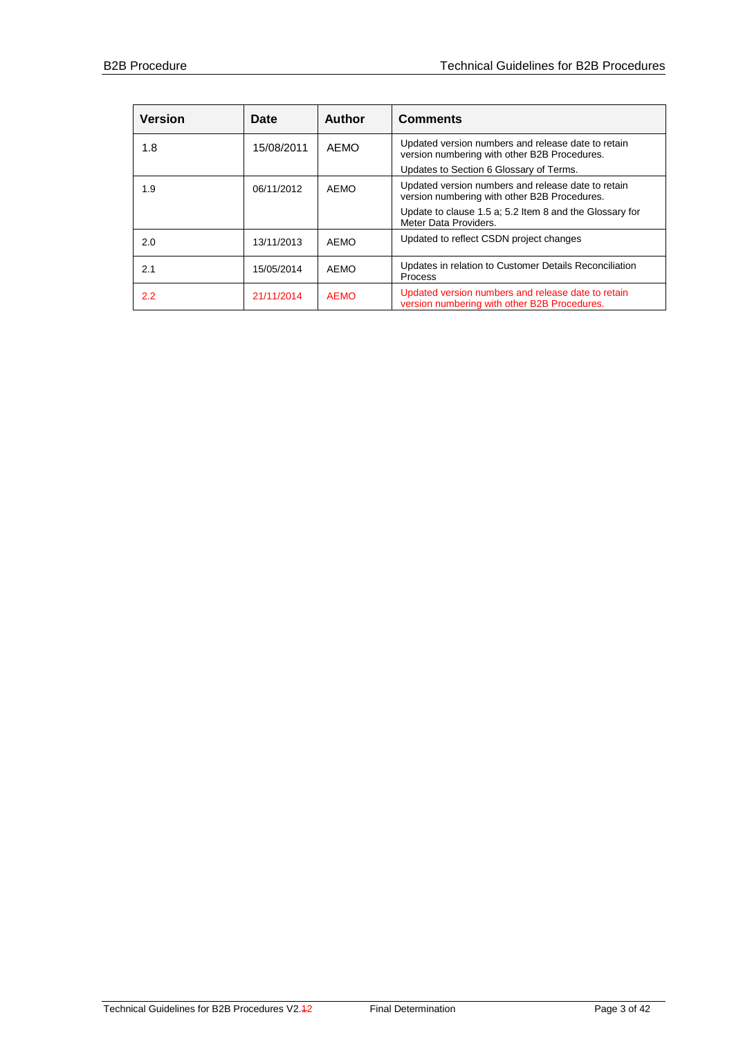| <b>Version</b> | Date       | <b>Author</b> | <b>Comments</b>                                                                                                                                                                        |
|----------------|------------|---------------|----------------------------------------------------------------------------------------------------------------------------------------------------------------------------------------|
| 1.8            | 15/08/2011 | AEMO          | Updated version numbers and release date to retain<br>version numbering with other B2B Procedures.<br>Updates to Section 6 Glossary of Terms.                                          |
| 1.9            | 06/11/2012 | <b>AEMO</b>   | Updated version numbers and release date to retain<br>version numbering with other B2B Procedures.<br>Update to clause 1.5 a; 5.2 Item 8 and the Glossary for<br>Meter Data Providers. |
| 2.0            | 13/11/2013 | AEMO          | Updated to reflect CSDN project changes                                                                                                                                                |
| 2.1            | 15/05/2014 | AEMO          | Updates in relation to Customer Details Reconciliation<br><b>Process</b>                                                                                                               |
| $2.2^{\circ}$  | 21/11/2014 | <b>AEMO</b>   | Updated version numbers and release date to retain<br>version numbering with other B2B Procedures.                                                                                     |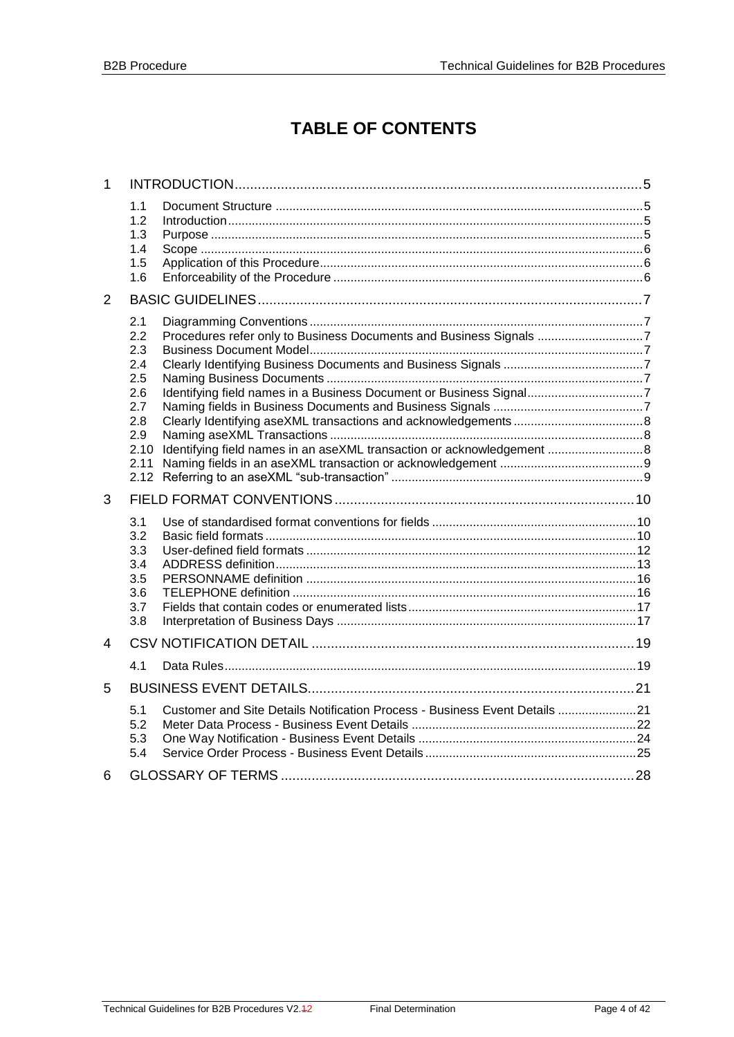# **TABLE OF CONTENTS**

| $\mathbf{1}$ |                                                      |                                                                                                                                          |  |
|--------------|------------------------------------------------------|------------------------------------------------------------------------------------------------------------------------------------------|--|
|              | 1.1<br>1.2<br>1.3<br>1.4<br>1.5<br>1.6               |                                                                                                                                          |  |
| 2            |                                                      |                                                                                                                                          |  |
|              | 2.1<br>2.2<br>2.3<br>2.4<br>2.5<br>2.6               | Procedures refer only to Business Documents and Business Signals 7<br>Identifying field names in a Business Document or Business Signal7 |  |
|              | 2.7<br>2.8<br>2.9<br>2.10<br>2.11                    | Identifying field names in an aseXML transaction or acknowledgement  8                                                                   |  |
| 3            |                                                      |                                                                                                                                          |  |
|              | 3.1<br>3.2<br>3.3<br>3.4<br>3.5<br>3.6<br>3.7<br>3.8 |                                                                                                                                          |  |
| 4            |                                                      |                                                                                                                                          |  |
|              | 4.1                                                  |                                                                                                                                          |  |
| 5            |                                                      |                                                                                                                                          |  |
|              | 5.1<br>5.2<br>5.3<br>5.4                             | Customer and Site Details Notification Process - Business Event Details 21                                                               |  |
| 6            |                                                      |                                                                                                                                          |  |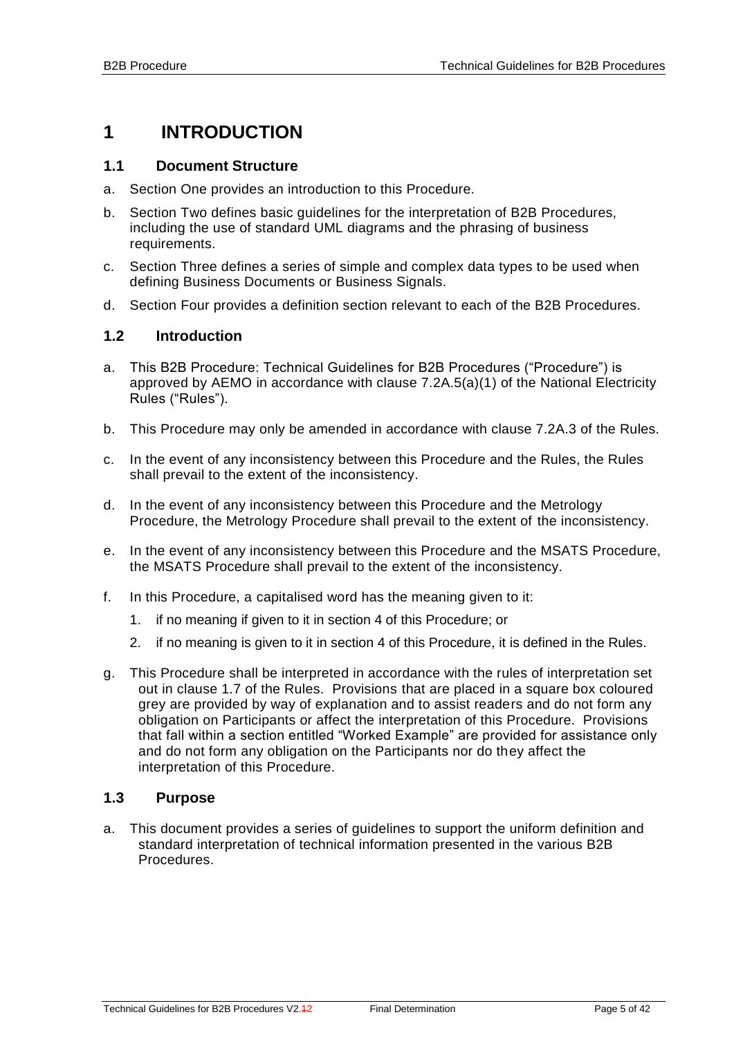# <span id="page-4-0"></span>**1 INTRODUCTION**

#### <span id="page-4-1"></span>**1.1 Document Structure**

- a. Section One provides an introduction to this Procedure.
- b. Section Two defines basic guidelines for the interpretation of B2B Procedures, including the use of standard UML diagrams and the phrasing of business requirements.
- c. Section Three defines a series of simple and complex data types to be used when defining Business Documents or Business Signals.
- d. Section Four provides a definition section relevant to each of the B2B Procedures.

#### <span id="page-4-2"></span>**1.2 Introduction**

- a. This B2B Procedure: Technical Guidelines for B2B Procedures ("Procedure") is approved by AEMO in accordance with clause 7.2A.5(a)(1) of the National Electricity Rules ("Rules").
- b. This Procedure may only be amended in accordance with clause 7.2A.3 of the Rules.
- c. In the event of any inconsistency between this Procedure and the Rules, the Rules shall prevail to the extent of the inconsistency.
- d. In the event of any inconsistency between this Procedure and the Metrology Procedure, the Metrology Procedure shall prevail to the extent of the inconsistency.
- e. In the event of any inconsistency between this Procedure and the MSATS Procedure, the MSATS Procedure shall prevail to the extent of the inconsistency.
- f. In this Procedure, a capitalised word has the meaning given to it:
	- 1. if no meaning if given to it in section 4 of this Procedure; or
	- 2. if no meaning is given to it in section 4 of this Procedure, it is defined in the Rules.
- g. This Procedure shall be interpreted in accordance with the rules of interpretation set out in clause 1.7 of the Rules. Provisions that are placed in a square box coloured grey are provided by way of explanation and to assist readers and do not form any obligation on Participants or affect the interpretation of this Procedure. Provisions that fall within a section entitled "Worked Example" are provided for assistance only and do not form any obligation on the Participants nor do they affect the interpretation of this Procedure.

#### <span id="page-4-3"></span>**1.3 Purpose**

a. This document provides a series of guidelines to support the uniform definition and standard interpretation of technical information presented in the various B2B Procedures.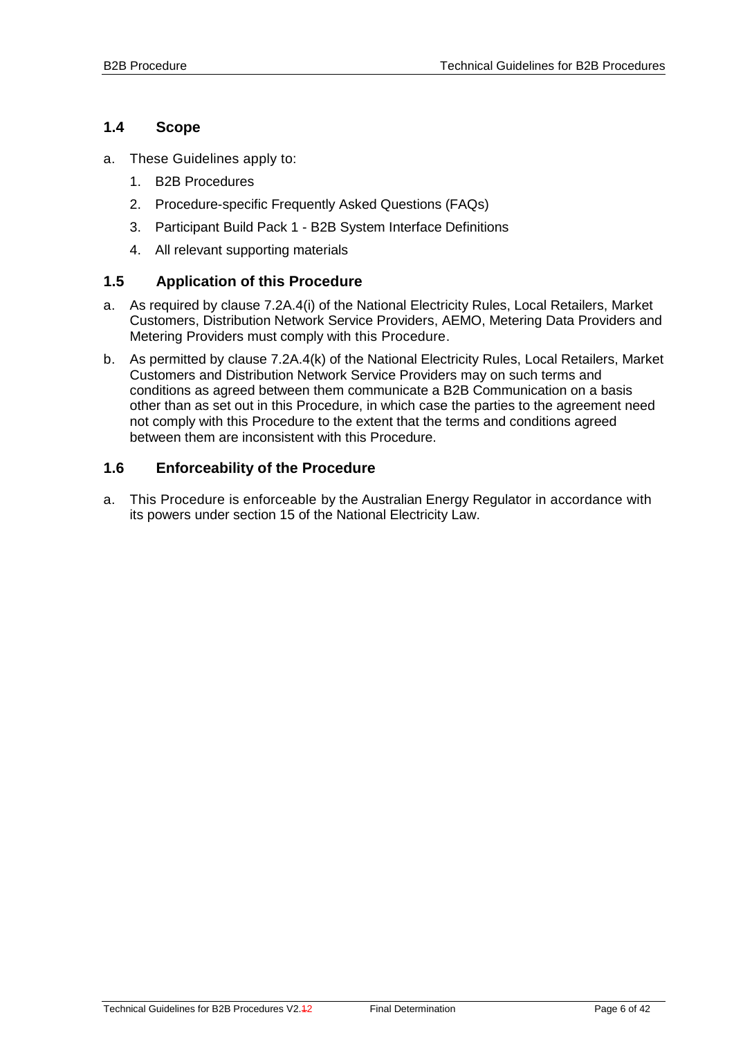### <span id="page-5-0"></span>**1.4 Scope**

- a. These Guidelines apply to:
	- 1. B2B Procedures
	- 2. Procedure-specific Frequently Asked Questions (FAQs)
	- 3. Participant Build Pack 1 B2B System Interface Definitions
	- 4. All relevant supporting materials

#### <span id="page-5-1"></span>**1.5 Application of this Procedure**

- a. As required by clause 7.2A.4(i) of the National Electricity Rules, Local Retailers, Market Customers, Distribution Network Service Providers, AEMO, Metering Data Providers and Metering Providers must comply with this Procedure.
- b. As permitted by clause 7.2A.4(k) of the National Electricity Rules, Local Retailers, Market Customers and Distribution Network Service Providers may on such terms and conditions as agreed between them communicate a B2B Communication on a basis other than as set out in this Procedure, in which case the parties to the agreement need not comply with this Procedure to the extent that the terms and conditions agreed between them are inconsistent with this Procedure.

#### <span id="page-5-2"></span>**1.6 Enforceability of the Procedure**

a. This Procedure is enforceable by the Australian Energy Regulator in accordance with its powers under section 15 of the National Electricity Law.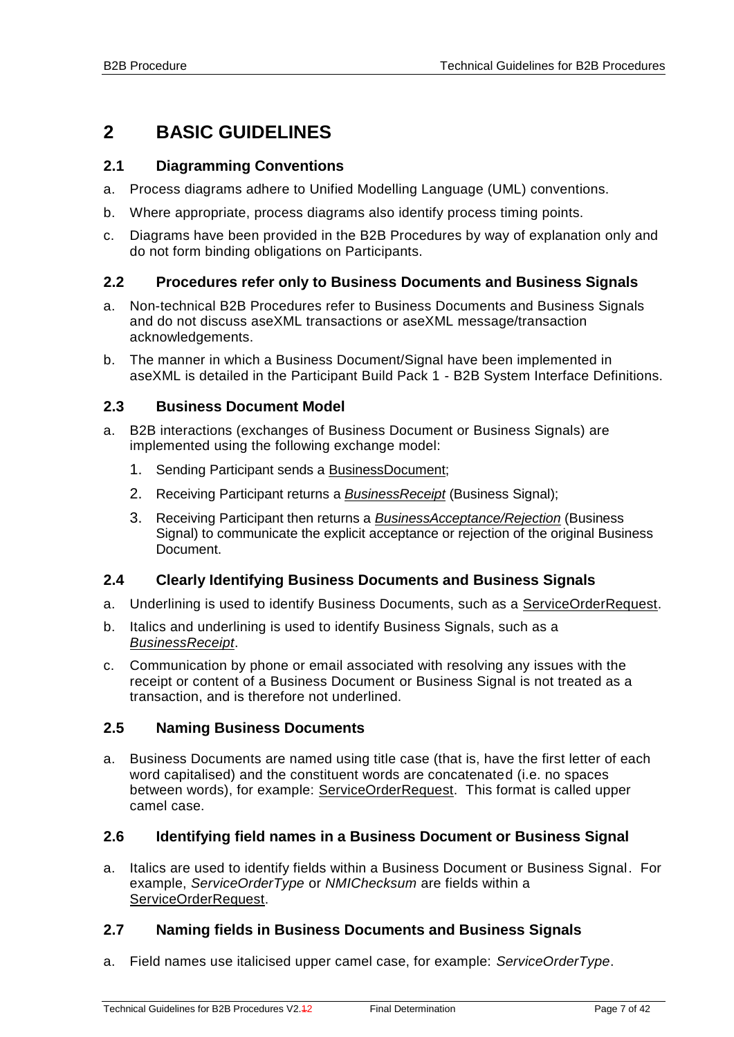# <span id="page-6-0"></span>**2 BASIC GUIDELINES**

### <span id="page-6-1"></span>**2.1 Diagramming Conventions**

- a. Process diagrams adhere to Unified Modelling Language (UML) conventions.
- b. Where appropriate, process diagrams also identify process timing points.
- c. Diagrams have been provided in the B2B Procedures by way of explanation only and do not form binding obligations on Participants.

### <span id="page-6-2"></span>**2.2 Procedures refer only to Business Documents and Business Signals**

- a. Non-technical B2B Procedures refer to Business Documents and Business Signals and do not discuss aseXML transactions or aseXML message/transaction acknowledgements.
- b. The manner in which a Business Document/Signal have been implemented in aseXML is detailed in the Participant Build Pack 1 - B2B System Interface Definitions.

#### <span id="page-6-3"></span>**2.3 Business Document Model**

- a. B2B interactions (exchanges of Business Document or Business Signals) are implemented using the following exchange model:
	- 1. Sending Participant sends a BusinessDocument;
	- 2. Receiving Participant returns a *BusinessReceipt* (Business Signal);
	- 3. Receiving Participant then returns a *BusinessAcceptance/Rejection* (Business Signal) to communicate the explicit acceptance or rejection of the original Business Document.

#### <span id="page-6-4"></span>**2.4 Clearly Identifying Business Documents and Business Signals**

- a. Underlining is used to identify Business Documents, such as a ServiceOrderRequest.
- b. Italics and underlining is used to identify Business Signals, such as a *BusinessReceipt*.
- c. Communication by phone or email associated with resolving any issues with the receipt or content of a Business Document or Business Signal is not treated as a transaction, and is therefore not underlined.

#### <span id="page-6-5"></span>**2.5 Naming Business Documents**

a. Business Documents are named using title case (that is, have the first letter of each word capitalised) and the constituent words are concatenated (i.e. no spaces between words), for example: ServiceOrderRequest. This format is called upper camel case.

#### <span id="page-6-6"></span>**2.6 Identifying field names in a Business Document or Business Signal**

a. Italics are used to identify fields within a Business Document or Business Signal. For example, *ServiceOrderType* or *NMIChecksum* are fields within a ServiceOrderRequest.

#### <span id="page-6-7"></span>**2.7 Naming fields in Business Documents and Business Signals**

a. Field names use italicised upper camel case, for example: *ServiceOrderType*.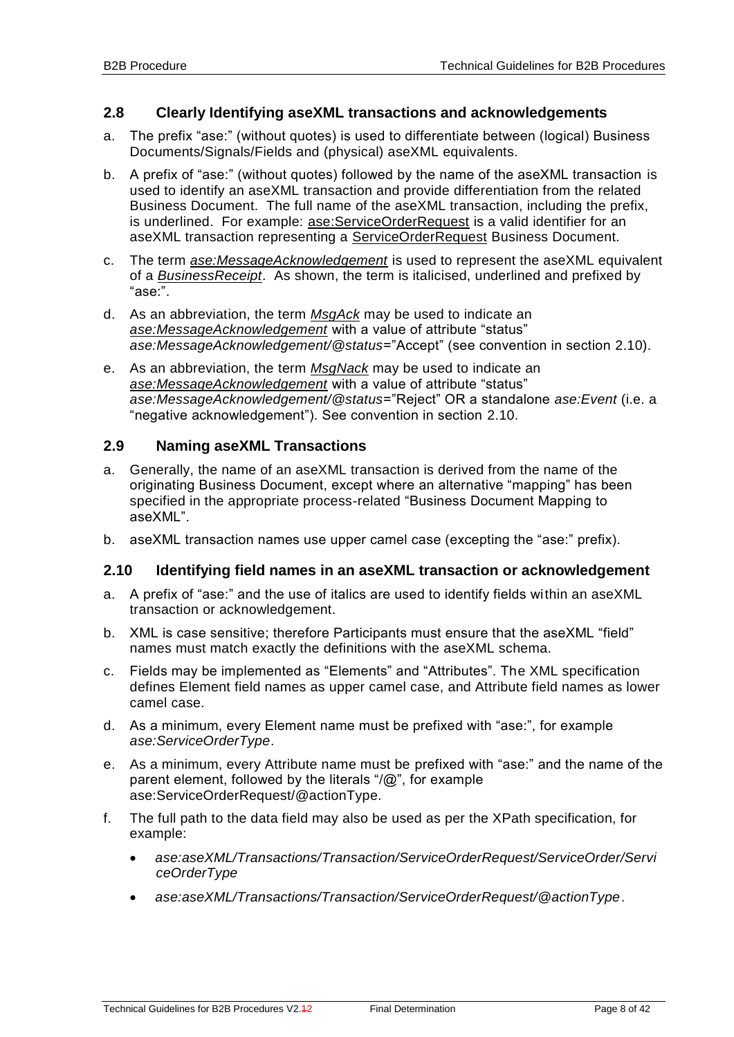#### <span id="page-7-0"></span>**2.8 Clearly Identifying aseXML transactions and acknowledgements**

- a. The prefix "ase:" (without quotes) is used to differentiate between (logical) Business Documents/Signals/Fields and (physical) aseXML equivalents.
- b. A prefix of "ase:" (without quotes) followed by the name of the aseXML transaction is used to identify an aseXML transaction and provide differentiation from the related Business Document. The full name of the aseXML transaction, including the prefix, is underlined. For example: ase: ServiceOrderRequest is a valid identifier for an aseXML transaction representing a ServiceOrderRequest Business Document.
- c. The term *ase:MessageAcknowledgement* is used to represent the aseXML equivalent of a *BusinessReceipt*. As shown, the term is italicised, underlined and prefixed by "ase:".
- d. As an abbreviation, the term *MsgAck* may be used to indicate an *ase:MessageAcknowledgement* with a value of attribute "status" *ase:MessageAcknowledgement/@status*="Accept" (see convention in section [2.10\)](#page-7-2).
- e. As an abbreviation, the term *MsgNack* may be used to indicate an *ase:MessageAcknowledgement* with a value of attribute "status" *ase:MessageAcknowledgement/@status*="Reject" OR a standalone *ase:Event* (i.e. a "negative acknowledgement"). See convention in section [2.10.](#page-7-2)

#### <span id="page-7-1"></span>**2.9 Naming aseXML Transactions**

- a. Generally, the name of an aseXML transaction is derived from the name of the originating Business Document, except where an alternative "mapping" has been specified in the appropriate process-related "Business Document Mapping to aseXML".
- b. aseXML transaction names use upper camel case (excepting the "ase:" prefix).

#### <span id="page-7-2"></span>**2.10 Identifying field names in an aseXML transaction or acknowledgement**

- a. A prefix of "ase:" and the use of italics are used to identify fields within an aseXML transaction or acknowledgement.
- b. XML is case sensitive; therefore Participants must ensure that the aseXML "field" names must match exactly the definitions with the aseXML schema.
- c. Fields may be implemented as "Elements" and "Attributes". The XML specification defines Element field names as upper camel case, and Attribute field names as lower camel case.
- d. As a minimum, every Element name must be prefixed with "ase:", for example *ase:ServiceOrderType*.
- e. As a minimum, every Attribute name must be prefixed with "ase:" and the name of the parent element, followed by the literals "/@", for example ase:ServiceOrderRequest/@actionType.
- f. The full path to the data field may also be used as per the XPath specification, for example:
	- *ase:aseXML/Transactions/Transaction/ServiceOrderRequest/ServiceOrder/Servi ceOrderType*
	- *ase:aseXML/Transactions/Transaction/ServiceOrderRequest/@actionType*.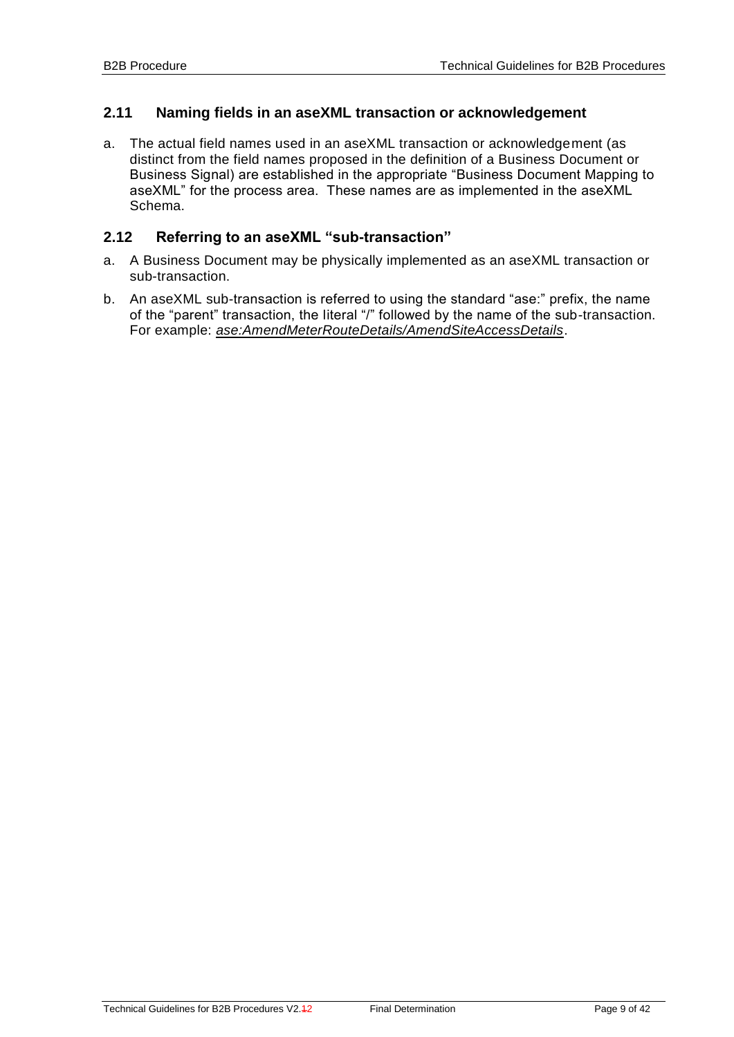#### <span id="page-8-0"></span>**2.11 Naming fields in an aseXML transaction or acknowledgement**

a. The actual field names used in an aseXML transaction or acknowledgement (as distinct from the field names proposed in the definition of a Business Document or Business Signal) are established in the appropriate "Business Document Mapping to aseXML" for the process area. These names are as implemented in the aseXML Schema.

### <span id="page-8-1"></span>**2.12 Referring to an aseXML "sub-transaction"**

- a. A Business Document may be physically implemented as an aseXML transaction or sub-transaction.
- b. An aseXML sub-transaction is referred to using the standard "ase:" prefix, the name of the "parent" transaction, the literal "/" followed by the name of the sub-transaction. For example: *ase:AmendMeterRouteDetails/AmendSiteAccessDetails*.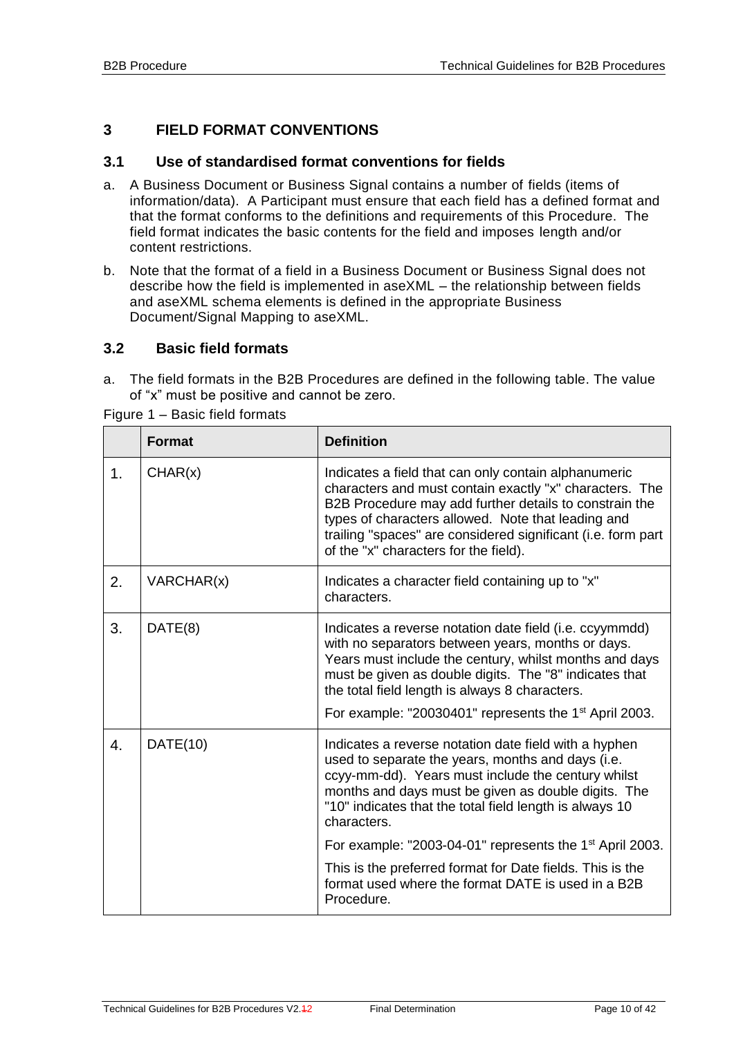### <span id="page-9-0"></span>**3 FIELD FORMAT CONVENTIONS**

#### <span id="page-9-1"></span>**3.1 Use of standardised format conventions for fields**

- a. A Business Document or Business Signal contains a number of fields (items of information/data). A Participant must ensure that each field has a defined format and that the format conforms to the definitions and requirements of this Procedure. The field format indicates the basic contents for the field and imposes length and/or content restrictions.
- b. Note that the format of a field in a Business Document or Business Signal does not describe how the field is implemented in aseXML – the relationship between fields and aseXML schema elements is defined in the appropriate Business Document/Signal Mapping to aseXML.

#### <span id="page-9-2"></span>**3.2 Basic field formats**

a. The field formats in the B2B Procedures are defined in the following table. The value of "x" must be positive and cannot be zero.

|               | <b>Format</b> | <b>Definition</b>                                                                                                                                                                                                                                                                                                                                        |
|---------------|---------------|----------------------------------------------------------------------------------------------------------------------------------------------------------------------------------------------------------------------------------------------------------------------------------------------------------------------------------------------------------|
| $\mathbf 1$ . | CHAR(x)       | Indicates a field that can only contain alphanumeric<br>characters and must contain exactly "x" characters. The<br>B2B Procedure may add further details to constrain the<br>types of characters allowed. Note that leading and<br>trailing "spaces" are considered significant (i.e. form part<br>of the "x" characters for the field).                 |
| 2.            | VARCHAR(x)    | Indicates a character field containing up to "x"<br>characters.                                                                                                                                                                                                                                                                                          |
| 3.            | DATE(8)       | Indicates a reverse notation date field (i.e. ccyymmdd)<br>with no separators between years, months or days.<br>Years must include the century, whilst months and days<br>must be given as double digits. The "8" indicates that<br>the total field length is always 8 characters.<br>For example: "20030401" represents the 1 <sup>st</sup> April 2003. |
| 4.            | DATE(10)      | Indicates a reverse notation date field with a hyphen<br>used to separate the years, months and days (i.e.<br>ccyy-mm-dd). Years must include the century whilst<br>months and days must be given as double digits. The<br>"10" indicates that the total field length is always 10<br>characters.                                                        |
|               |               | For example: "2003-04-01" represents the 1 <sup>st</sup> April 2003.                                                                                                                                                                                                                                                                                     |
|               |               | This is the preferred format for Date fields. This is the<br>format used where the format DATE is used in a B2B<br>Procedure.                                                                                                                                                                                                                            |

Figure 1 – Basic field formats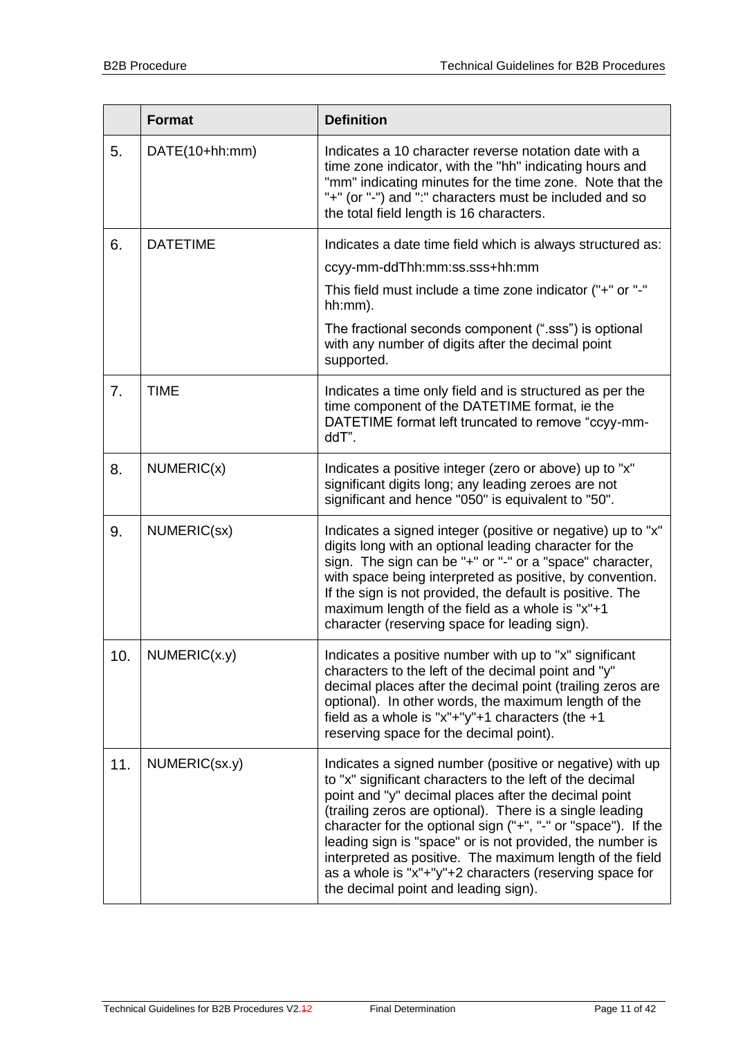|     | <b>Format</b>   | <b>Definition</b>                                                                                                                                                                                                                                                                                                                                                                                                                                                                                                                     |
|-----|-----------------|---------------------------------------------------------------------------------------------------------------------------------------------------------------------------------------------------------------------------------------------------------------------------------------------------------------------------------------------------------------------------------------------------------------------------------------------------------------------------------------------------------------------------------------|
| 5.  | DATE(10+hh:mm)  | Indicates a 10 character reverse notation date with a<br>time zone indicator, with the "hh" indicating hours and<br>"mm" indicating minutes for the time zone. Note that the<br>"+" (or "-") and ":" characters must be included and so<br>the total field length is 16 characters.                                                                                                                                                                                                                                                   |
| 6.  | <b>DATETIME</b> | Indicates a date time field which is always structured as:                                                                                                                                                                                                                                                                                                                                                                                                                                                                            |
|     |                 | ccyy-mm-ddThh:mm:ss.sss+hh:mm                                                                                                                                                                                                                                                                                                                                                                                                                                                                                                         |
|     |                 | This field must include a time zone indicator ("+" or "-"<br>hh:mm).                                                                                                                                                                                                                                                                                                                                                                                                                                                                  |
|     |                 | The fractional seconds component (".sss") is optional<br>with any number of digits after the decimal point<br>supported.                                                                                                                                                                                                                                                                                                                                                                                                              |
| 7.  | <b>TIME</b>     | Indicates a time only field and is structured as per the<br>time component of the DATETIME format, ie the<br>DATETIME format left truncated to remove "ccyy-mm-<br>ddT".                                                                                                                                                                                                                                                                                                                                                              |
| 8.  | NUMERIC(x)      | Indicates a positive integer (zero or above) up to "x"<br>significant digits long; any leading zeroes are not<br>significant and hence "050" is equivalent to "50".                                                                                                                                                                                                                                                                                                                                                                   |
| 9.  | NUMERIC(sx)     | Indicates a signed integer (positive or negative) up to "x"<br>digits long with an optional leading character for the<br>sign. The sign can be "+" or "-" or a "space" character,<br>with space being interpreted as positive, by convention.<br>If the sign is not provided, the default is positive. The<br>maximum length of the field as a whole is "x"+1<br>character (reserving space for leading sign).                                                                                                                        |
| 10. | NUMERIC(x.y)    | Indicates a positive number with up to "x" significant<br>characters to the left of the decimal point and "y"<br>decimal places after the decimal point (trailing zeros are<br>optional). In other words, the maximum length of the<br>field as a whole is "x"+"y"+1 characters (the $+1$<br>reserving space for the decimal point).                                                                                                                                                                                                  |
| 11. | NUMERIC(Sx.y)   | Indicates a signed number (positive or negative) with up<br>to "x" significant characters to the left of the decimal<br>point and "y" decimal places after the decimal point<br>(trailing zeros are optional). There is a single leading<br>character for the optional sign ("+", "-" or "space"). If the<br>leading sign is "space" or is not provided, the number is<br>interpreted as positive. The maximum length of the field<br>as a whole is "x"+"y"+2 characters (reserving space for<br>the decimal point and leading sign). |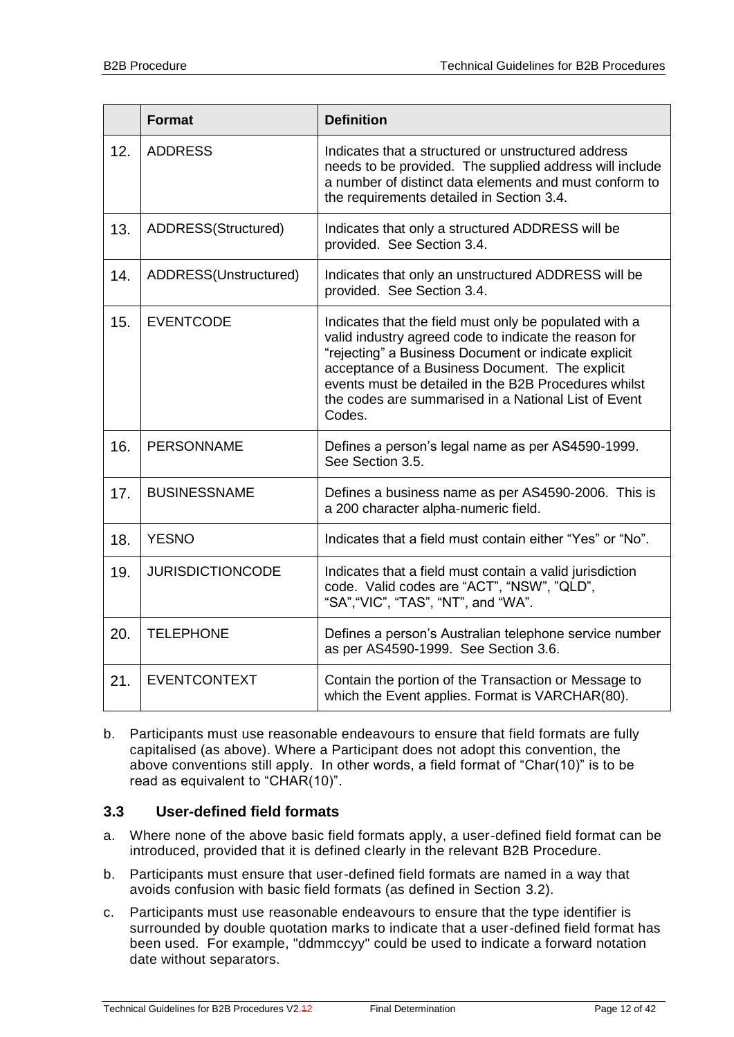|     | <b>Format</b>           | <b>Definition</b>                                                                                                                                                                                                                                                                                                                                    |
|-----|-------------------------|------------------------------------------------------------------------------------------------------------------------------------------------------------------------------------------------------------------------------------------------------------------------------------------------------------------------------------------------------|
| 12. | <b>ADDRESS</b>          | Indicates that a structured or unstructured address<br>needs to be provided. The supplied address will include<br>a number of distinct data elements and must conform to<br>the requirements detailed in Section 3.4.                                                                                                                                |
| 13. | ADDRESS(Structured)     | Indicates that only a structured ADDRESS will be<br>provided. See Section 3.4.                                                                                                                                                                                                                                                                       |
| 14. | ADDRESS(Unstructured)   | Indicates that only an unstructured ADDRESS will be<br>provided. See Section 3.4.                                                                                                                                                                                                                                                                    |
| 15. | <b>EVENTCODE</b>        | Indicates that the field must only be populated with a<br>valid industry agreed code to indicate the reason for<br>"rejecting" a Business Document or indicate explicit<br>acceptance of a Business Document. The explicit<br>events must be detailed in the B2B Procedures whilst<br>the codes are summarised in a National List of Event<br>Codes. |
| 16. | <b>PERSONNAME</b>       | Defines a person's legal name as per AS4590-1999.<br>See Section 3.5.                                                                                                                                                                                                                                                                                |
| 17. | <b>BUSINESSNAME</b>     | Defines a business name as per AS4590-2006. This is<br>a 200 character alpha-numeric field.                                                                                                                                                                                                                                                          |
| 18. | <b>YESNO</b>            | Indicates that a field must contain either "Yes" or "No".                                                                                                                                                                                                                                                                                            |
| 19. | <b>JURISDICTIONCODE</b> | Indicates that a field must contain a valid jurisdiction<br>code. Valid codes are "ACT", "NSW", "QLD",<br>"SA", "VIC", "TAS", "NT", and "WA".                                                                                                                                                                                                        |
| 20. | <b>TELEPHONE</b>        | Defines a person's Australian telephone service number<br>as per AS4590-1999. See Section 3.6.                                                                                                                                                                                                                                                       |
| 21. | <b>EVENTCONTEXT</b>     | Contain the portion of the Transaction or Message to<br>which the Event applies. Format is VARCHAR(80).                                                                                                                                                                                                                                              |

b. Participants must use reasonable endeavours to ensure that field formats are fully capitalised (as above). Where a Participant does not adopt this convention, the above conventions still apply. In other words, a field format of "Char(10)" is to be read as equivalent to "CHAR(10)".

#### <span id="page-11-0"></span>**3.3 User-defined field formats**

- a. Where none of the above basic field formats apply, a user-defined field format can be introduced, provided that it is defined clearly in the relevant B2B Procedure.
- b. Participants must ensure that user-defined field formats are named in a way that avoids confusion with basic field formats (as defined in Section [3.2\)](#page-9-2).
- c. Participants must use reasonable endeavours to ensure that the type identifier is surrounded by double quotation marks to indicate that a user-defined field format has been used. For example, "ddmmccyy" could be used to indicate a forward notation date without separators.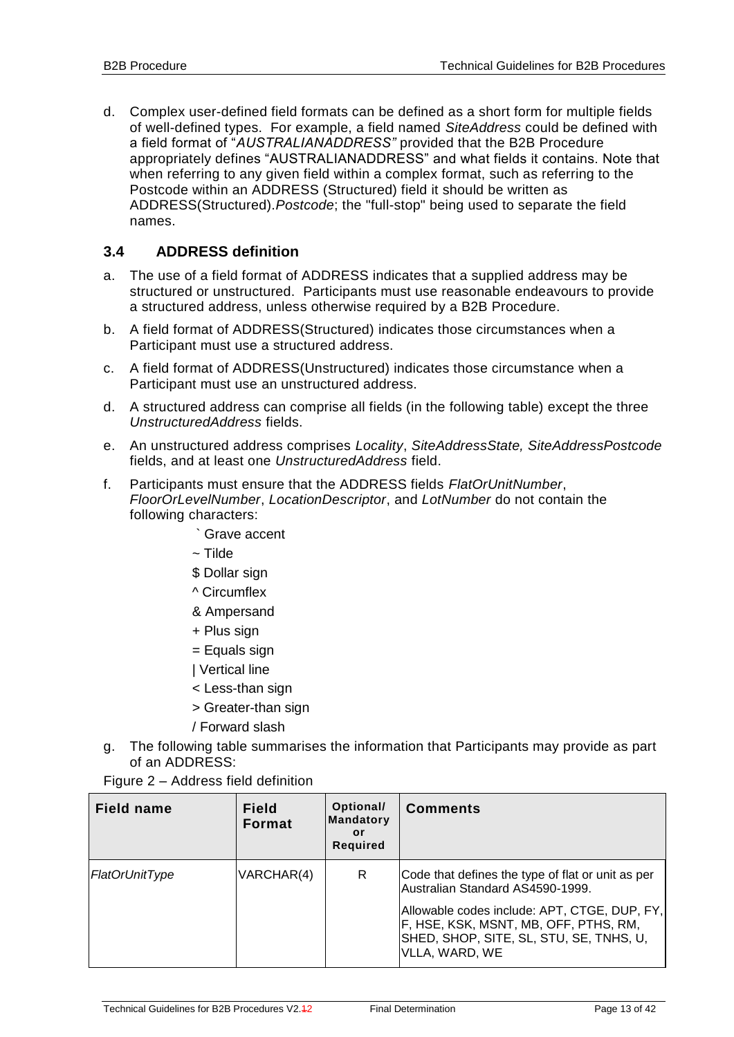d. Complex user-defined field formats can be defined as a short form for multiple fields of well-defined types. For example, a field named *SiteAddress* could be defined with a field format of "*AUSTRALIANADDRESS"* provided that the B2B Procedure appropriately defines "AUSTRALIANADDRESS" and what fields it contains. Note that when referring to any given field within a complex format, such as referring to the Postcode within an ADDRESS (Structured) field it should be written as ADDRESS(Structured).*Postcode*; the "full-stop" being used to separate the field names.

### <span id="page-12-0"></span>**3.4 ADDRESS definition**

- a. The use of a field format of ADDRESS indicates that a supplied address may be structured or unstructured. Participants must use reasonable endeavours to provide a structured address, unless otherwise required by a B2B Procedure.
- b. A field format of ADDRESS(Structured) indicates those circumstances when a Participant must use a structured address.
- c. A field format of ADDRESS(Unstructured) indicates those circumstance when a Participant must use an unstructured address.
- d. A structured address can comprise all fields (in the following table) except the three *UnstructuredAddress* fields.
- e. An unstructured address comprises *Locality*, *SiteAddressState, SiteAddressPostcode*  fields, and at least one *UnstructuredAddress* field.
- f. Participants must ensure that the ADDRESS fields *FlatOrUnitNumber*, *FloorOrLevelNumber*, *LocationDescriptor*, and *LotNumber* do not contain the following characters:
	- ` Grave accent
	- $\sim$  Tilde
	- \$ Dollar sign
	- ^ Circumflex
	- & Ampersand
	- + Plus sign
	- = Equals sign
	- | Vertical line
	- < Less-than sign
	- > Greater-than sign
	- / Forward slash
- g. The following table summarises the information that Participants may provide as part of an ADDRESS:
- Figure 2 Address field definition

| <b>Field name</b> | <b>Field</b><br><b>Format</b> | Optional/<br><b>Mandatory</b><br>or<br><b>Required</b> | <b>Comments</b>                                                                                                                                                                                                                             |
|-------------------|-------------------------------|--------------------------------------------------------|---------------------------------------------------------------------------------------------------------------------------------------------------------------------------------------------------------------------------------------------|
| FlatOrUnitType    | VARCHAR(4)                    | R                                                      | Code that defines the type of flat or unit as per<br>Australian Standard AS4590-1999.<br>Allowable codes include: APT, CTGE, DUP, FY,<br>F, HSE, KSK, MSNT, MB, OFF, PTHS, RM,<br>SHED, SHOP, SITE, SL, STU, SE, TNHS, U,<br>VLLA, WARD, WE |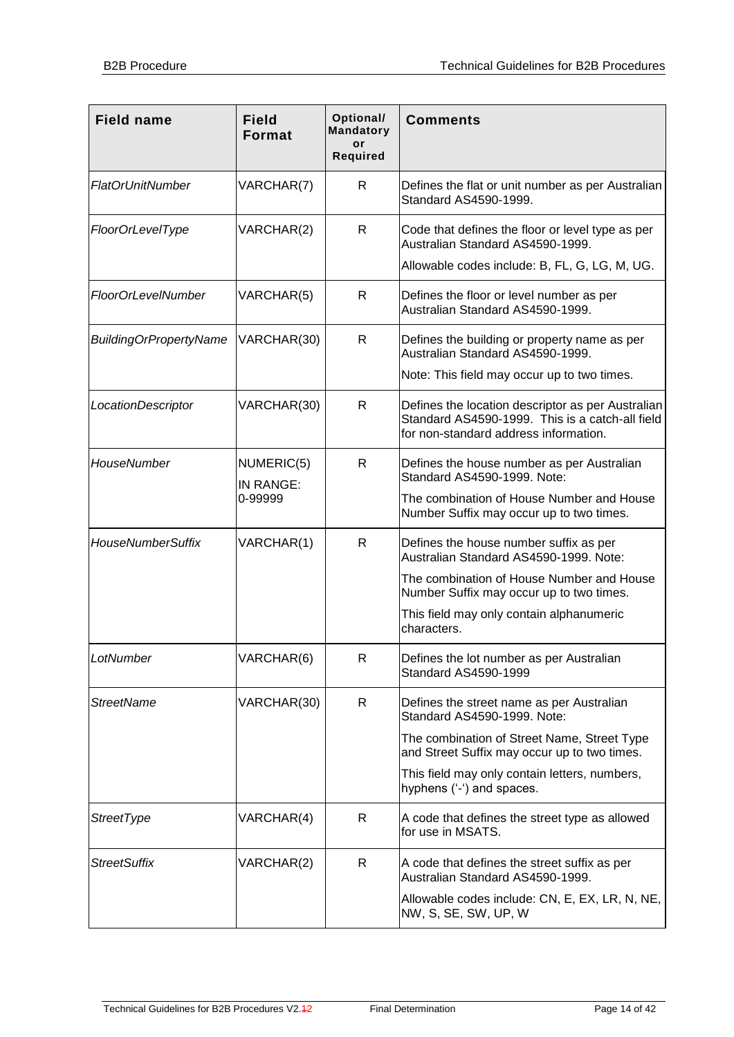| <b>Field name</b>             | <b>Field</b><br><b>Format</b> | Optional/<br><b>Mandatory</b><br>or<br><b>Required</b> | <b>Comments</b>                                                                                                                               |
|-------------------------------|-------------------------------|--------------------------------------------------------|-----------------------------------------------------------------------------------------------------------------------------------------------|
| <b>FlatOrUnitNumber</b>       | VARCHAR(7)                    | R                                                      | Defines the flat or unit number as per Australian<br>Standard AS4590-1999.                                                                    |
| FloorOrLevelType              | VARCHAR(2)                    | R                                                      | Code that defines the floor or level type as per<br>Australian Standard AS4590-1999.                                                          |
|                               |                               |                                                        | Allowable codes include: B, FL, G, LG, M, UG.                                                                                                 |
| <b>FloorOrLevelNumber</b>     | VARCHAR(5)                    | R                                                      | Defines the floor or level number as per<br>Australian Standard AS4590-1999.                                                                  |
| <b>BuildingOrPropertyName</b> | VARCHAR(30)                   | R                                                      | Defines the building or property name as per<br>Australian Standard AS4590-1999.                                                              |
|                               |                               |                                                        | Note: This field may occur up to two times.                                                                                                   |
| LocationDescriptor            | VARCHAR(30)                   | R                                                      | Defines the location descriptor as per Australian<br>Standard AS4590-1999. This is a catch-all field<br>for non-standard address information. |
| HouseNumber                   | NUMERIC(5)<br>IN RANGE:       | R                                                      | Defines the house number as per Australian<br>Standard AS4590-1999. Note:                                                                     |
|                               | 0-99999                       |                                                        | The combination of House Number and House<br>Number Suffix may occur up to two times.                                                         |
| <b>HouseNumberSuffix</b>      | VARCHAR(1)                    | R.                                                     | Defines the house number suffix as per<br>Australian Standard AS4590-1999. Note:                                                              |
|                               |                               |                                                        | The combination of House Number and House<br>Number Suffix may occur up to two times.                                                         |
|                               |                               |                                                        | This field may only contain alphanumeric<br>characters.                                                                                       |
| LotNumber                     | VARCHAR(6)                    | R                                                      | Defines the lot number as per Australian<br>Standard AS4590-1999                                                                              |
| <b>StreetName</b>             | VARCHAR(30)                   | R                                                      | Defines the street name as per Australian<br>Standard AS4590-1999. Note:                                                                      |
|                               |                               |                                                        | The combination of Street Name, Street Type<br>and Street Suffix may occur up to two times.                                                   |
|                               |                               |                                                        | This field may only contain letters, numbers,<br>hyphens ('-') and spaces.                                                                    |
| <b>StreetType</b>             | VARCHAR(4)                    | R.                                                     | A code that defines the street type as allowed<br>for use in MSATS.                                                                           |
| <b>StreetSuffix</b>           | VARCHAR(2)                    | R                                                      | A code that defines the street suffix as per<br>Australian Standard AS4590-1999.                                                              |
|                               |                               |                                                        | Allowable codes include: CN, E, EX, LR, N, NE,<br>NW, S, SE, SW, UP, W                                                                        |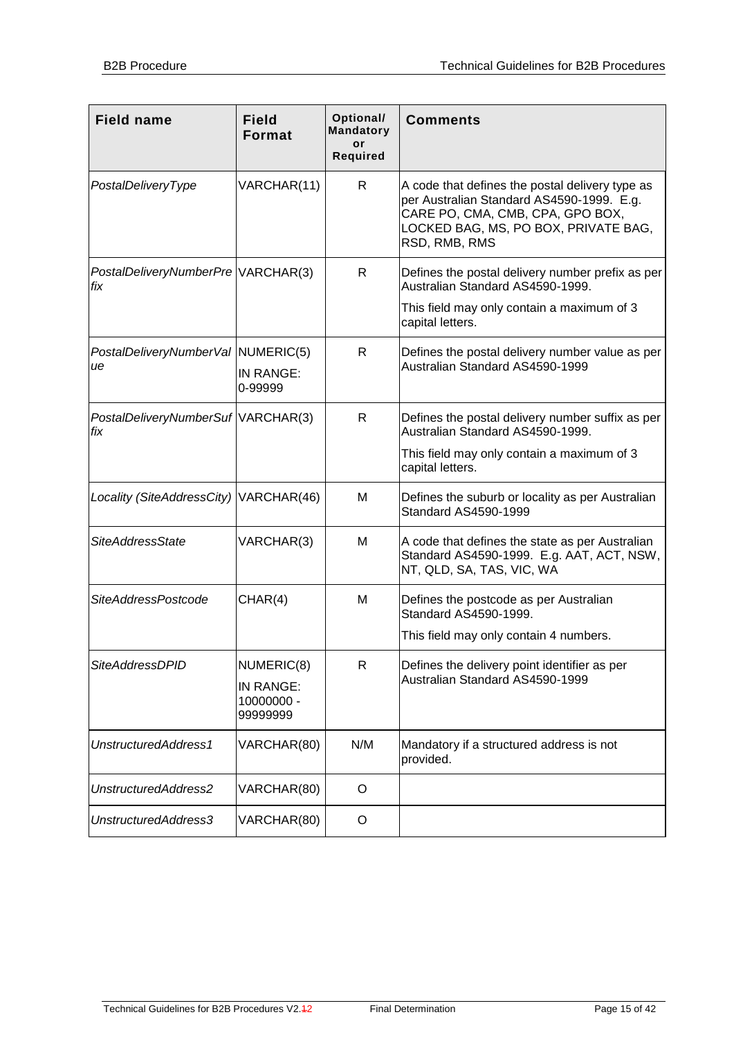| <b>Field name</b>                         | <b>Field</b><br><b>Format</b>                     | Optional/<br><b>Mandatory</b><br>or<br><b>Required</b> | <b>Comments</b>                                                                                                                                                                           |
|-------------------------------------------|---------------------------------------------------|--------------------------------------------------------|-------------------------------------------------------------------------------------------------------------------------------------------------------------------------------------------|
| PostalDeliveryType                        | VARCHAR(11)                                       | R                                                      | A code that defines the postal delivery type as<br>per Australian Standard AS4590-1999. E.g.<br>CARE PO, CMA, CMB, CPA, GPO BOX,<br>LOCKED BAG, MS, PO BOX, PRIVATE BAG,<br>RSD, RMB, RMS |
| PostalDeliveryNumberPre VARCHAR(3)<br>fix |                                                   | R.                                                     | Defines the postal delivery number prefix as per<br>Australian Standard AS4590-1999.                                                                                                      |
|                                           |                                                   |                                                        | This field may only contain a maximum of 3<br>capital letters.                                                                                                                            |
| PostalDeliveryNumberVal NUMERIC(5)<br>ue  | IN RANGE:<br>0-99999                              | R                                                      | Defines the postal delivery number value as per<br>Australian Standard AS4590-1999                                                                                                        |
| PostalDeliveryNumberSuf VARCHAR(3)<br>fix |                                                   | R                                                      | Defines the postal delivery number suffix as per<br>Australian Standard AS4590-1999.                                                                                                      |
|                                           |                                                   |                                                        | This field may only contain a maximum of 3<br>capital letters.                                                                                                                            |
| Locality (SiteAddressCity) VARCHAR(46)    |                                                   | м                                                      | Defines the suburb or locality as per Australian<br>Standard AS4590-1999                                                                                                                  |
| <b>SiteAddressState</b>                   | VARCHAR(3)                                        | М                                                      | A code that defines the state as per Australian<br>Standard AS4590-1999. E.g. AAT, ACT, NSW,<br>NT, QLD, SA, TAS, VIC, WA                                                                 |
| SiteAddressPostcode                       | CHAR(4)                                           | м                                                      | Defines the postcode as per Australian<br>Standard AS4590-1999.                                                                                                                           |
|                                           |                                                   |                                                        | This field may only contain 4 numbers.                                                                                                                                                    |
| <b>SiteAddressDPID</b>                    | NUMERIC(8)<br>IN RANGE:<br>10000000 -<br>99999999 | R                                                      | Defines the delivery point identifier as per<br>Australian Standard AS4590-1999                                                                                                           |
| UnstructuredAddress1                      | VARCHAR(80)                                       | N/M                                                    | Mandatory if a structured address is not<br>provided.                                                                                                                                     |
| UnstructuredAddress2                      | VARCHAR(80)                                       | O                                                      |                                                                                                                                                                                           |
| UnstructuredAddress3                      | VARCHAR(80)                                       | O                                                      |                                                                                                                                                                                           |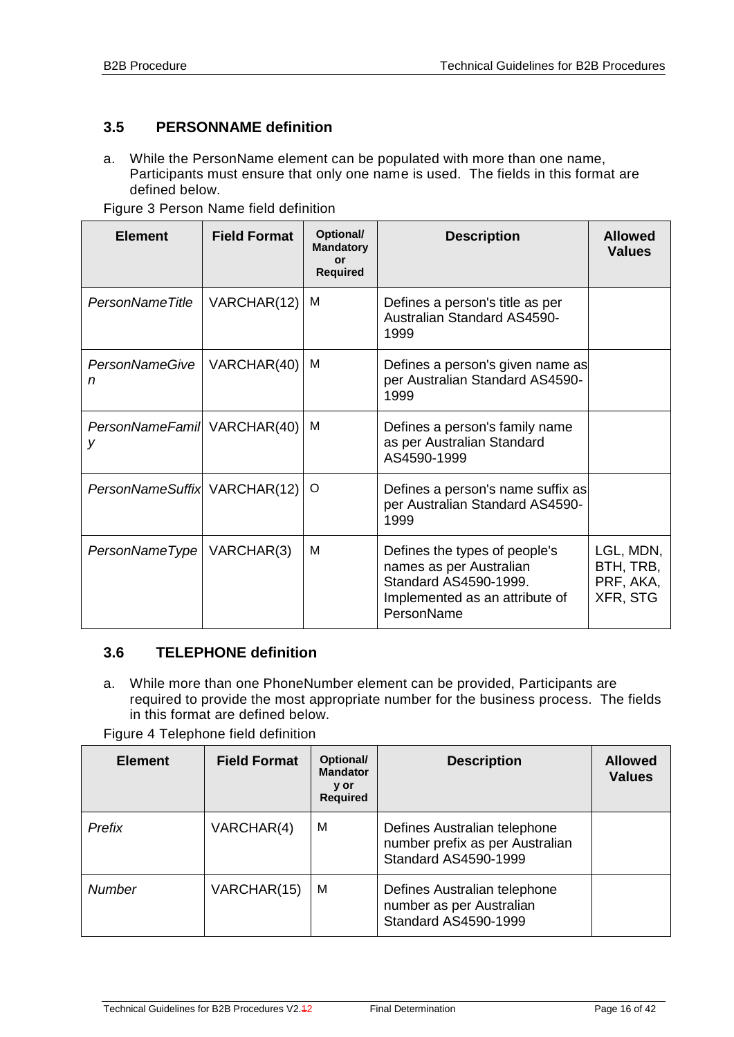## <span id="page-15-0"></span>**3.5 PERSONNAME definition**

a. While the PersonName element can be populated with more than one name, Participants must ensure that only one name is used. The fields in this format are defined below.

| <b>Element</b>                   | <b>Field Format</b> | Optional/<br><b>Mandatory</b><br>or<br><b>Required</b> | <b>Description</b>                                                                                                                | <b>Allowed</b><br><b>Values</b>                 |
|----------------------------------|---------------------|--------------------------------------------------------|-----------------------------------------------------------------------------------------------------------------------------------|-------------------------------------------------|
| PersonNameTitle                  | VARCHAR(12)         | м                                                      | Defines a person's title as per<br><b>Australian Standard AS4590-</b><br>1999                                                     |                                                 |
| <b>PersonNameGive</b><br>n       | VARCHAR(40)         | м                                                      | Defines a person's given name as<br>per Australian Standard AS4590-<br>1999                                                       |                                                 |
| PersonNameFamil VARCHAR(40)<br>v |                     | м                                                      | Defines a person's family name<br>as per Australian Standard<br>AS4590-1999                                                       |                                                 |
| PersonNameSuffix VARCHAR(12)     |                     | O                                                      | Defines a person's name suffix as<br>per Australian Standard AS4590-<br>1999                                                      |                                                 |
| PersonNameType   VARCHAR(3)      |                     | M                                                      | Defines the types of people's<br>names as per Australian<br>Standard AS4590-1999.<br>Implemented as an attribute of<br>PersonName | LGL, MDN,<br>BTH, TRB,<br>PRF, AKA,<br>XFR, STG |

Figure 3 Person Name field definition

#### <span id="page-15-1"></span>**3.6 TELEPHONE definition**

a. While more than one PhoneNumber element can be provided, Participants are required to provide the most appropriate number for the business process. The fields in this format are defined below.

Figure 4 Telephone field definition

| <b>Element</b> | <b>Field Format</b> | Optional/<br><b>Mandator</b><br>y or<br><b>Required</b> | <b>Description</b>                                                                      | <b>Allowed</b><br><b>Values</b> |
|----------------|---------------------|---------------------------------------------------------|-----------------------------------------------------------------------------------------|---------------------------------|
| Prefix         | VARCHAR(4)          | м                                                       | Defines Australian telephone<br>number prefix as per Australian<br>Standard AS4590-1999 |                                 |
| <b>Number</b>  | VARCHAR(15)         | M                                                       | Defines Australian telephone<br>number as per Australian<br>Standard AS4590-1999        |                                 |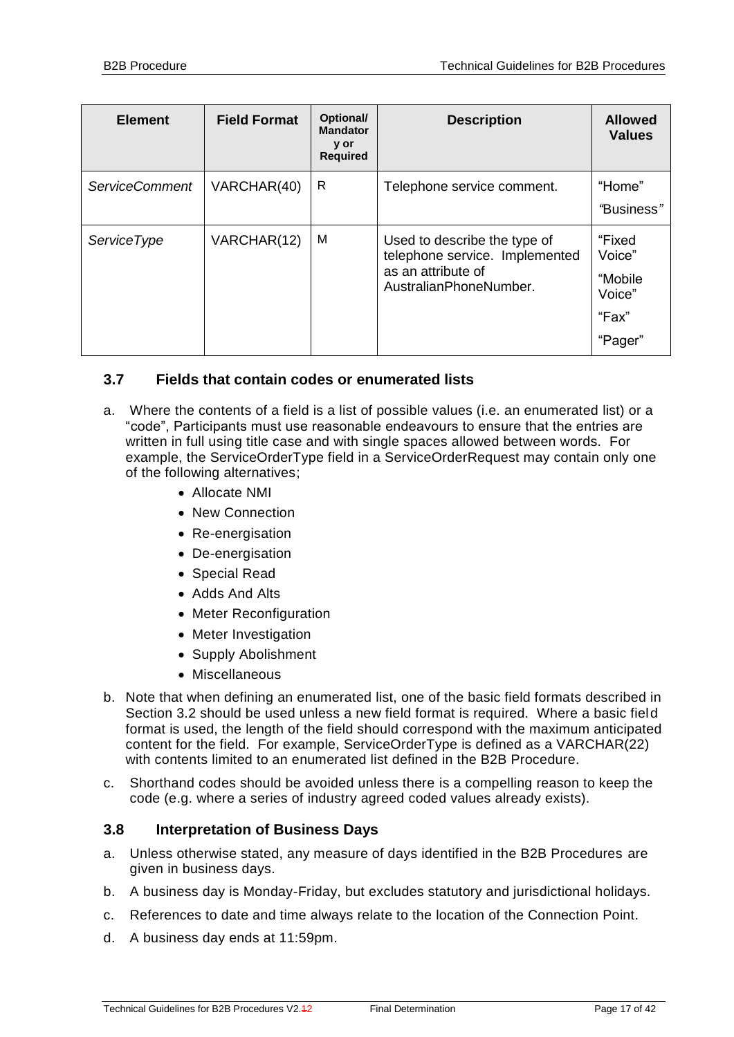| <b>Element</b>        | <b>Field Format</b> | Optional/<br><b>Mandator</b><br>y or<br><b>Required</b> | <b>Description</b>                                                                                             | <b>Allowed</b><br><b>Values</b>                           |
|-----------------------|---------------------|---------------------------------------------------------|----------------------------------------------------------------------------------------------------------------|-----------------------------------------------------------|
| <b>ServiceComment</b> | VARCHAR(40)         | R                                                       | Telephone service comment.                                                                                     | "Home"<br>"Business"                                      |
| <b>ServiceType</b>    | VARCHAR(12)         | M                                                       | Used to describe the type of<br>telephone service. Implemented<br>as an attribute of<br>AustralianPhoneNumber. | "Fixed<br>Voice"<br>"Mobile<br>Voice"<br>"Fax"<br>"Pager" |

### <span id="page-16-0"></span>**3.7 Fields that contain codes or enumerated lists**

- a. Where the contents of a field is a list of possible values (i.e. an enumerated list) or a "code", Participants must use reasonable endeavours to ensure that the entries are written in full using title case and with single spaces allowed between words. For example, the ServiceOrderType field in a ServiceOrderRequest may contain only one of the following alternatives;
	- Allocate NMI
	- New Connection
	- Re-energisation
	- De-energisation
	- Special Read
	- Adds And Alts
	- Meter Reconfiguration
	- Meter Investigation
	- Supply Abolishment
	- Miscellaneous
- b. Note that when defining an enumerated list, one of the basic field formats described in Section 3.2 should be used unless a new field format is required. Where a basic field format is used, the length of the field should correspond with the maximum anticipated content for the field. For example, ServiceOrderType is defined as a VARCHAR(22) with contents limited to an enumerated list defined in the B2B Procedure.
- c. Shorthand codes should be avoided unless there is a compelling reason to keep the code (e.g. where a series of industry agreed coded values already exists).

#### <span id="page-16-1"></span>**3.8 Interpretation of Business Days**

- a. Unless otherwise stated, any measure of days identified in the B2B Procedures are given in business days.
- b. A business day is Monday-Friday, but excludes statutory and jurisdictional holidays.
- c. References to date and time always relate to the location of the Connection Point.
- d. A business day ends at 11:59pm.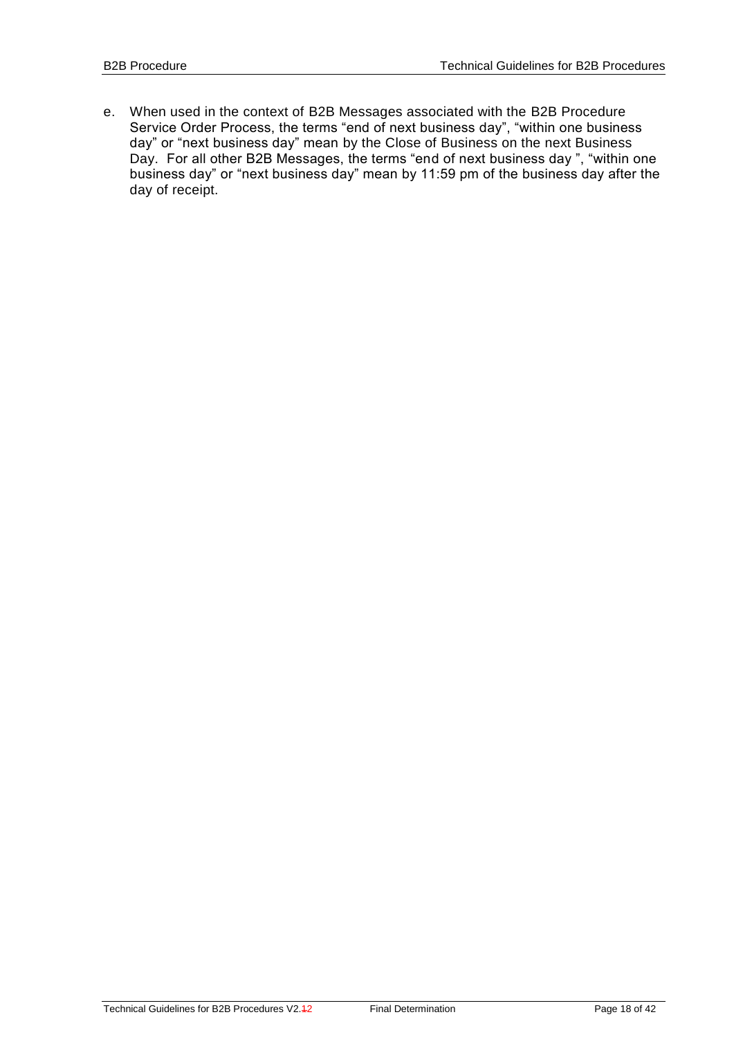e. When used in the context of B2B Messages associated with the B2B Procedure Service Order Process, the terms "end of next business day", "within one business day" or "next business day" mean by the Close of Business on the next Business Day. For all other B2B Messages, the terms "end of next business day ", "within one business day" or "next business day" mean by 11:59 pm of the business day after the day of receipt.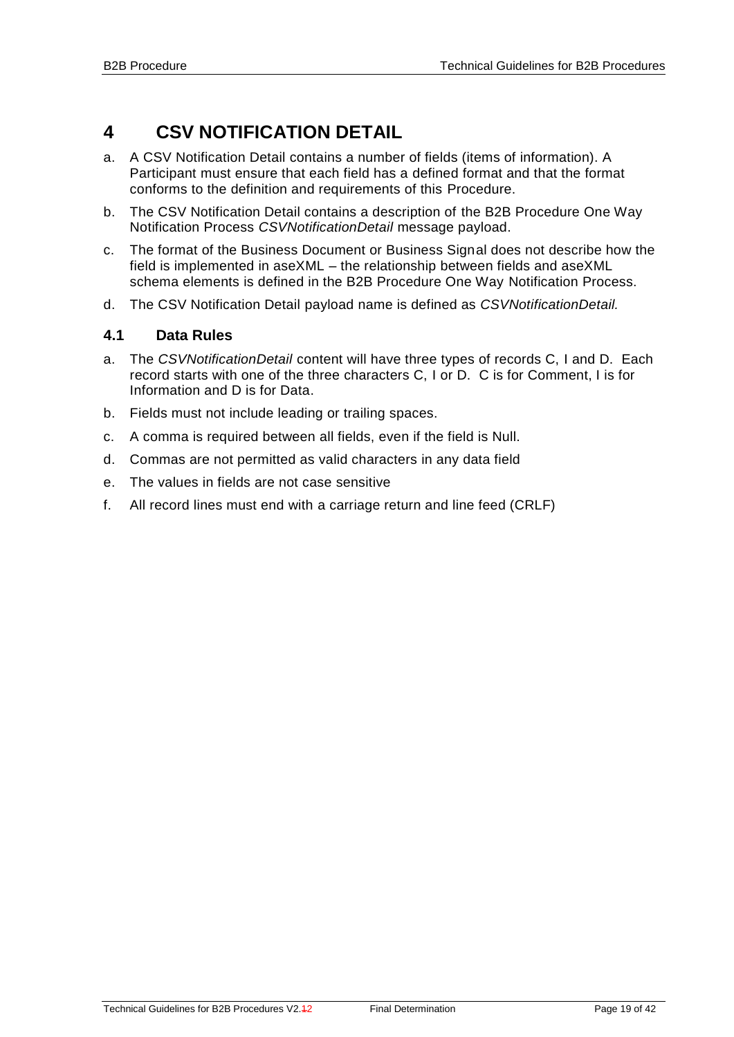# <span id="page-18-0"></span>**4 CSV NOTIFICATION DETAIL**

- a. A CSV Notification Detail contains a number of fields (items of information). A Participant must ensure that each field has a defined format and that the format conforms to the definition and requirements of this Procedure.
- b. The CSV Notification Detail contains a description of the B2B Procedure One Way Notification Process *CSVNotificationDetail* message payload.
- c. The format of the Business Document or Business Signal does not describe how the field is implemented in aseXML – the relationship between fields and aseXML schema elements is defined in the B2B Procedure One Way Notification Process.
- d. The CSV Notification Detail payload name is defined as *CSVNotificationDetail.*

### <span id="page-18-1"></span>**4.1 Data Rules**

- a. The *CSVNotificationDetail* content will have three types of records C, I and D. Each record starts with one of the three characters C, I or D. C is for Comment, I is for Information and D is for Data.
- b. Fields must not include leading or trailing spaces.
- c. A comma is required between all fields, even if the field is Null.
- d. Commas are not permitted as valid characters in any data field
- e. The values in fields are not case sensitive
- f. All record lines must end with a carriage return and line feed (CRLF)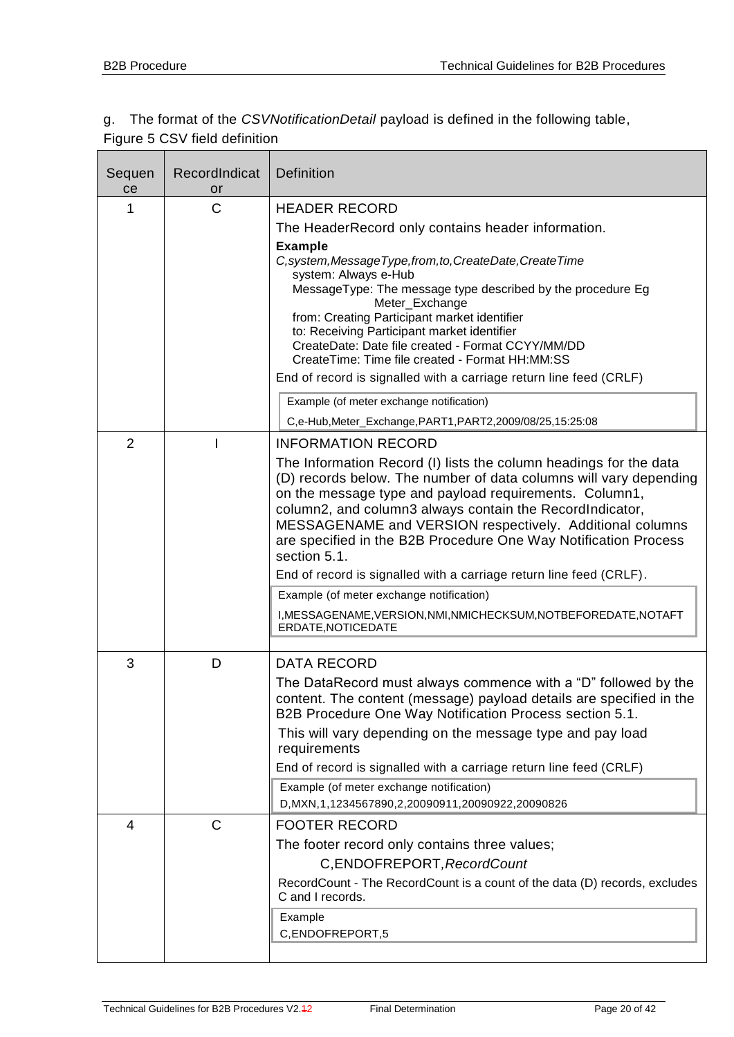## g. The format of the *CSVNotificationDetail* payload is defined in the following table, Figure 5 CSV field definition

| Sequen<br>ce   | RecordIndicat<br>or | <b>Definition</b>                                                                                                                                                                                                                                                                                                                                                                                                                                                                                                                                                                                                                                     |
|----------------|---------------------|-------------------------------------------------------------------------------------------------------------------------------------------------------------------------------------------------------------------------------------------------------------------------------------------------------------------------------------------------------------------------------------------------------------------------------------------------------------------------------------------------------------------------------------------------------------------------------------------------------------------------------------------------------|
| 1              | C                   | <b>HEADER RECORD</b><br>The HeaderRecord only contains header information.<br><b>Example</b><br>C, system, Message Type, from, to, Create Date, Create Time<br>system: Always e-Hub<br>MessageType: The message type described by the procedure Eg<br>Meter_Exchange<br>from: Creating Participant market identifier<br>to: Receiving Participant market identifier<br>CreateDate: Date file created - Format CCYY/MM/DD<br>CreateTime: Time file created - Format HH:MM:SS<br>End of record is signalled with a carriage return line feed (CRLF)<br>Example (of meter exchange notification)                                                         |
|                |                     | C,e-Hub, Meter_Exchange, PART1, PART2, 2009/08/25, 15:25:08                                                                                                                                                                                                                                                                                                                                                                                                                                                                                                                                                                                           |
| $\overline{2}$ |                     | <b>INFORMATION RECORD</b><br>The Information Record (I) lists the column headings for the data<br>(D) records below. The number of data columns will vary depending<br>on the message type and payload requirements. Column1,<br>column2, and column3 always contain the RecordIndicator,<br>MESSAGENAME and VERSION respectively. Additional columns<br>are specified in the B2B Procedure One Way Notification Process<br>section 5.1.<br>End of record is signalled with a carriage return line feed (CRLF).<br>Example (of meter exchange notification)<br>I, MESSAGENAME, VERSION, NMI, NMICHECKSUM, NOTBEFOREDATE, NOTAFT<br>ERDATE, NOTICEDATE |
| 3              | D                   | <b>DATA RECORD</b><br>The DataRecord must always commence with a "D" followed by the<br>content. The content (message) payload details are specified in the<br>B2B Procedure One Way Notification Process section 5.1.<br>This will vary depending on the message type and pay load<br>requirements<br>End of record is signalled with a carriage return line feed (CRLF)<br>Example (of meter exchange notification)<br>D, MXN, 1, 1234567890, 2, 20090911, 20090922, 20090826                                                                                                                                                                       |
| 4              | $\mathsf{C}$        | <b>FOOTER RECORD</b><br>The footer record only contains three values;<br>C, ENDOFREPORT, RecordCount<br>RecordCount - The RecordCount is a count of the data (D) records, excludes<br>C and I records.<br>Example<br>C,ENDOFREPORT,5                                                                                                                                                                                                                                                                                                                                                                                                                  |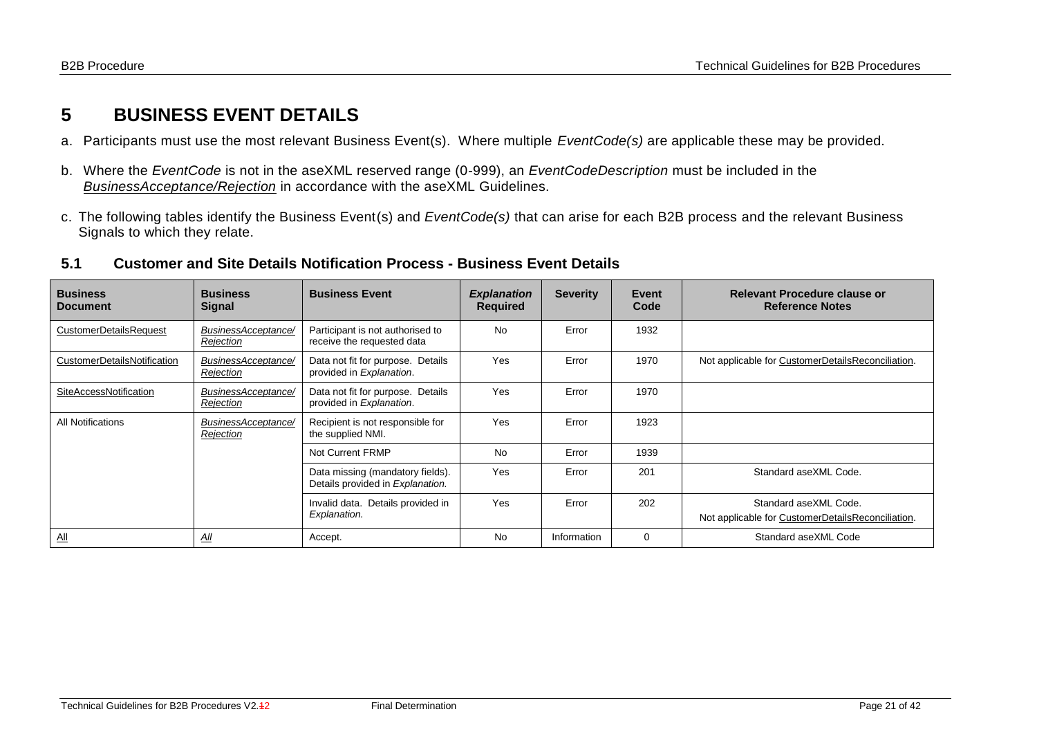# **5 BUSINESS EVENT DETAILS**

- a. Participants must use the most relevant Business Event(s). Where multiple *EventCode(s)* are applicable these may be provided.
- b. Where the *EventCode* is not in the aseXML reserved range (0-999), an *EventCodeDescription* must be included in the *BusinessAcceptance/Rejection* in accordance with the aseXML Guidelines.
- c. The following tables identify the Business Event(s) and *EventCode(s)* that can arise for each B2B process and the relevant Business Signals to which they relate.

#### **5.1 Customer and Site Details Notification Process - Business Event Details**

<span id="page-20-1"></span><span id="page-20-0"></span>

| <b>Business</b><br><b>Document</b> | <b>Business</b><br><b>Signal</b> | <b>Business Event</b>                                                | <b>Explanation</b><br><b>Required</b> | <b>Severity</b> | Event<br>Code | Relevant Procedure clause or<br><b>Reference Notes</b>                     |
|------------------------------------|----------------------------------|----------------------------------------------------------------------|---------------------------------------|-----------------|---------------|----------------------------------------------------------------------------|
| <b>CustomerDetailsRequest</b>      | BusinessAcceptance/<br>Rejection | Participant is not authorised to<br>receive the requested data       | <b>No</b>                             | Error           | 1932          |                                                                            |
| CustomerDetailsNotification        | BusinessAcceptance/<br>Rejection | Data not fit for purpose. Details<br>provided in Explanation.        | Yes                                   | Error           | 1970          | Not applicable for CustomerDetailsReconciliation.                          |
| SiteAccessNotification             | BusinessAcceptance/<br>Rejection | Data not fit for purpose. Details<br>provided in Explanation.        | Yes                                   | Error           | 1970          |                                                                            |
| All Notifications                  | BusinessAcceptance/<br>Rejection | Recipient is not responsible for<br>the supplied NMI.                | Yes                                   | Error           | 1923          |                                                                            |
|                                    |                                  | Not Current FRMP                                                     | <b>No</b>                             | Error           | 1939          |                                                                            |
|                                    |                                  | Data missing (mandatory fields).<br>Details provided in Explanation. | Yes                                   | Error           | 201           | Standard aseXML Code.                                                      |
|                                    |                                  | Invalid data. Details provided in<br>Explanation.                    | Yes                                   | Error           | 202           | Standard aseXML Code.<br>Not applicable for CustomerDetailsReconciliation. |
| $\underline{\mathsf{All}}$         | <u>All</u>                       | Accept.                                                              | <b>No</b>                             | Information     | 0             | Standard aseXML Code                                                       |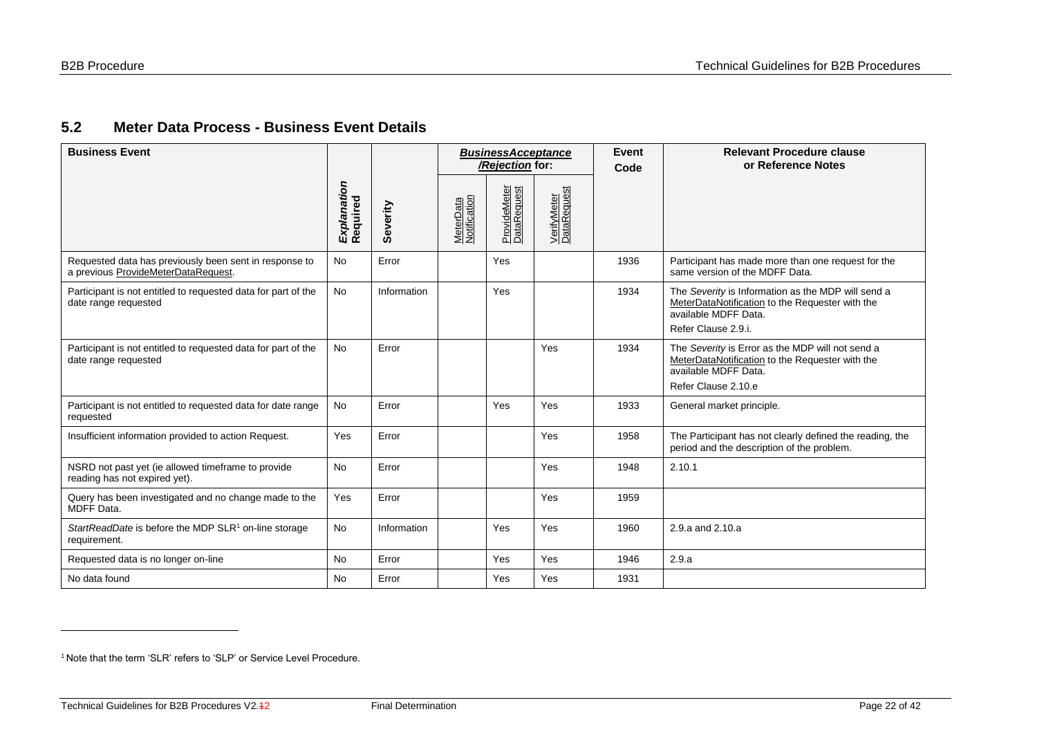## **5.2 Meter Data Process - Business Event Details**

| <b>Business Event</b>                                                                         |                         |             |                           |                             | <b>BusinessAcceptance</b><br>/Rejection for: |      | Event<br>Code                                                                                                                                        | <b>Relevant Procedure clause</b><br>or Reference Notes |
|-----------------------------------------------------------------------------------------------|-------------------------|-------------|---------------------------|-----------------------------|----------------------------------------------|------|------------------------------------------------------------------------------------------------------------------------------------------------------|--------------------------------------------------------|
|                                                                                               | Explanation<br>Required | Severity    | MeterData<br>Notification | ProvideMeter<br>DataRequest | VerifyMeter<br>DataRequest                   |      |                                                                                                                                                      |                                                        |
| Requested data has previously been sent in response to<br>a previous ProvideMeterDataRequest. | <b>No</b>               | Error       |                           | Yes                         |                                              | 1936 | Participant has made more than one request for the<br>same version of the MDFF Data.                                                                 |                                                        |
| Participant is not entitled to requested data for part of the<br>date range requested         | <b>No</b>               | Information |                           | Yes                         |                                              | 1934 | The Severity is Information as the MDP will send a<br>MeterDataNotification to the Requester with the<br>available MDFF Data.<br>Refer Clause 2.9.i. |                                                        |
| Participant is not entitled to requested data for part of the<br>date range requested         | <b>No</b>               | Error       |                           |                             | Yes                                          | 1934 | The Severity is Error as the MDP will not send a<br>MeterDataNotification to the Requester with the<br>available MDFF Data.<br>Refer Clause 2.10.e   |                                                        |
| Participant is not entitled to requested data for date range<br>requested                     | No                      | Error       |                           | Yes                         | Yes                                          | 1933 | General market principle.                                                                                                                            |                                                        |
| Insufficient information provided to action Request.                                          | Yes                     | Error       |                           |                             | Yes                                          | 1958 | The Participant has not clearly defined the reading, the<br>period and the description of the problem.                                               |                                                        |
| NSRD not past yet (ie allowed timeframe to provide<br>reading has not expired yet).           | <b>No</b>               | Error       |                           |                             | Yes                                          | 1948 | 2.10.1                                                                                                                                               |                                                        |
| Query has been investigated and no change made to the<br>MDFF Data.                           | Yes                     | Error       |                           |                             | Yes                                          | 1959 |                                                                                                                                                      |                                                        |
| StartReadDate is before the MDP SLR <sup>1</sup> on-line storage<br>requirement.              | No                      | Information |                           | Yes                         | Yes                                          | 1960 | 2.9.a and 2.10.a                                                                                                                                     |                                                        |
| Requested data is no longer on-line                                                           | <b>No</b>               | Error       |                           | Yes                         | Yes                                          | 1946 | 2.9.a                                                                                                                                                |                                                        |
| No data found                                                                                 | <b>No</b>               | Error       |                           | Yes                         | Yes                                          | 1931 |                                                                                                                                                      |                                                        |

<span id="page-21-0"></span>

<sup>&</sup>lt;sup>1</sup> Note that the term 'SLR' refers to 'SLP' or Service Level Procedure.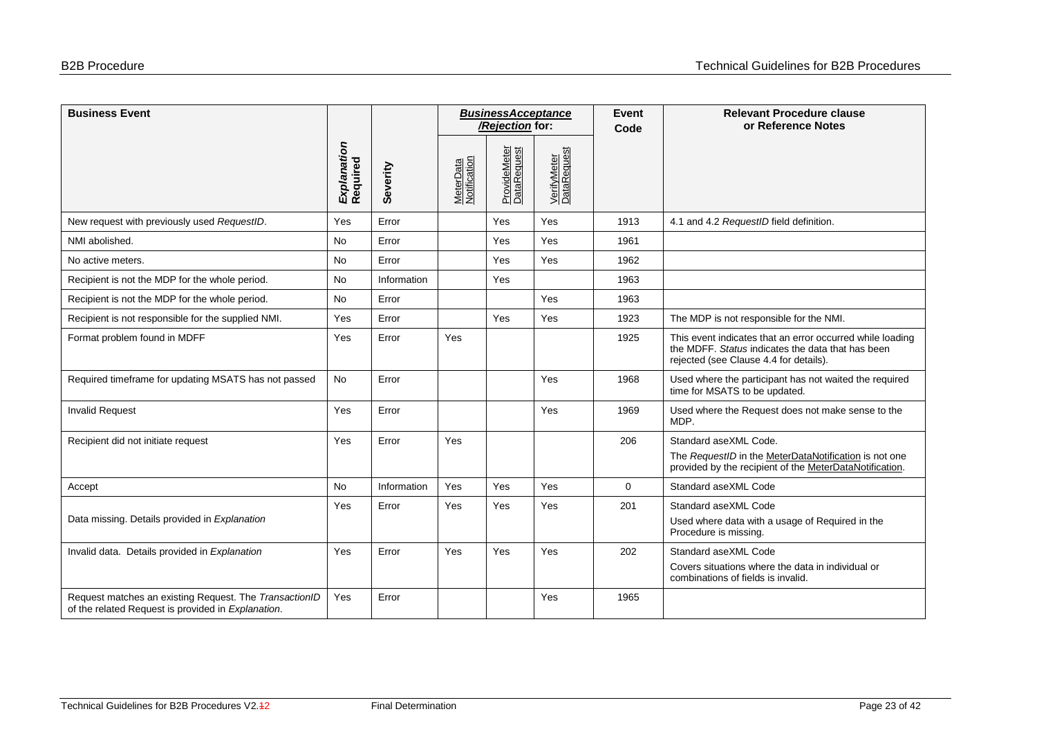| <b>Business Event</b>                                                                                        |                         |             | <b>BusinessAcceptance</b><br>/Rejection for: |                             |                            | <b>Event</b><br>Code | <b>Relevant Procedure clause</b><br>or Reference Notes                                                                                                   |
|--------------------------------------------------------------------------------------------------------------|-------------------------|-------------|----------------------------------------------|-----------------------------|----------------------------|----------------------|----------------------------------------------------------------------------------------------------------------------------------------------------------|
|                                                                                                              | Explanation<br>Required | Severity    | MeterData<br>Notification                    | ProvideMeter<br>DataRequest | VerifyMeter<br>DataRequest |                      |                                                                                                                                                          |
| New request with previously used RequestID.                                                                  | Yes                     | Error       |                                              | Yes                         | Yes                        | 1913                 | 4.1 and 4.2 RequestID field definition.                                                                                                                  |
| NMI abolished.                                                                                               | <b>No</b>               | Error       |                                              | Yes                         | Yes                        | 1961                 |                                                                                                                                                          |
| No active meters.                                                                                            | <b>No</b>               | Error       |                                              | Yes                         | Yes                        | 1962                 |                                                                                                                                                          |
| Recipient is not the MDP for the whole period.                                                               | <b>No</b>               | Information |                                              | Yes                         |                            | 1963                 |                                                                                                                                                          |
| Recipient is not the MDP for the whole period.                                                               | <b>No</b>               | Error       |                                              |                             | Yes                        | 1963                 |                                                                                                                                                          |
| Recipient is not responsible for the supplied NMI.                                                           | Yes                     | Error       |                                              | Yes                         | Yes                        | 1923                 | The MDP is not responsible for the NMI.                                                                                                                  |
| Format problem found in MDFF                                                                                 | Yes                     | Error       | Yes                                          |                             |                            | 1925                 | This event indicates that an error occurred while loading<br>the MDFF. Status indicates the data that has been<br>rejected (see Clause 4.4 for details). |
| Required timeframe for updating MSATS has not passed                                                         | No                      | Error       |                                              |                             | Yes                        | 1968                 | Used where the participant has not waited the required<br>time for MSATS to be updated.                                                                  |
| <b>Invalid Request</b>                                                                                       | Yes                     | Error       |                                              |                             | Yes                        | 1969                 | Used where the Request does not make sense to the<br>MDP.                                                                                                |
| Recipient did not initiate request                                                                           | Yes                     | Error       | Yes                                          |                             |                            | 206                  | Standard aseXML Code.                                                                                                                                    |
|                                                                                                              |                         |             |                                              |                             |                            |                      | The RequestID in the MeterDataNotification is not one<br>provided by the recipient of the MeterDataNotification.                                         |
| Accept                                                                                                       | <b>No</b>               | Information | Yes                                          | Yes                         | Yes                        | $\mathbf 0$          | Standard aseXML Code                                                                                                                                     |
| Data missing. Details provided in Explanation                                                                | Yes                     | Error       | Yes                                          | Yes                         | Yes                        | 201                  | Standard aseXML Code<br>Used where data with a usage of Required in the<br>Procedure is missing.                                                         |
| Invalid data. Details provided in Explanation                                                                | Yes                     | Error       | Yes                                          | Yes                         | Yes                        | 202                  | Standard aseXML Code                                                                                                                                     |
|                                                                                                              |                         |             |                                              |                             |                            |                      | Covers situations where the data in individual or<br>combinations of fields is invalid.                                                                  |
| Request matches an existing Request. The TransactionID<br>of the related Request is provided in Explanation. | Yes                     | Error       |                                              |                             | Yes                        | 1965                 |                                                                                                                                                          |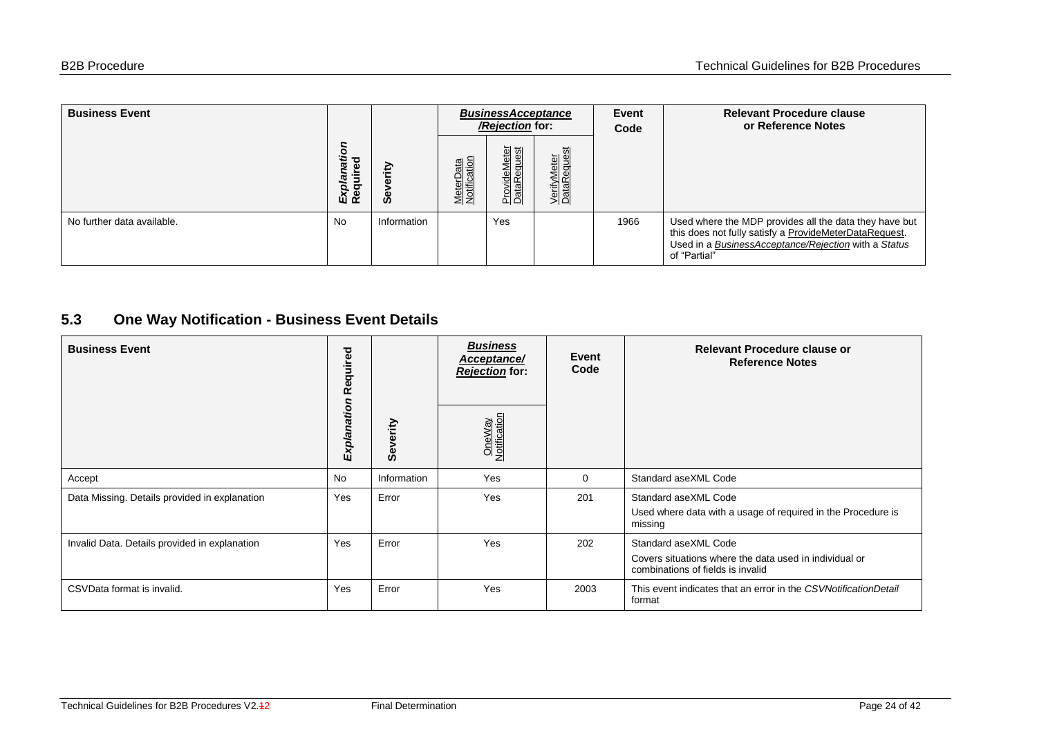| <b>Business Event</b>      |                               |             |                           | <b>BusinessAcceptance</b><br>/Rejection for: |                            | <b>Event</b><br>Code | <b>Relevant Procedure clause</b><br>or Reference Notes                                                                                                                                   |
|----------------------------|-------------------------------|-------------|---------------------------|----------------------------------------------|----------------------------|----------------------|------------------------------------------------------------------------------------------------------------------------------------------------------------------------------------------|
|                            | O<br>₹<br>о<br><u> 더</u><br>യ | €<br>ဖိ     | MeterData<br>Notification | leMeter<br>:equest<br>Provide<br>DataRe      | VerifyMeter<br>DataRequest |                      |                                                                                                                                                                                          |
| No further data available. | <b>No</b>                     | Information |                           | Yes                                          |                            | 1966                 | Used where the MDP provides all the data they have but<br>this does not fully satisfy a ProvideMeterDataRequest.<br>Used in a BusinessAcceptance/Rejection with a Status<br>of "Partial" |

## **5.3 One Way Notification - Business Event Details**

<span id="page-23-0"></span>

| <b>Business Event</b>                         | equired<br>$\alpha$ |              | <b>Business</b><br>Acceptance/<br><b>Rejection</b> for: | Event<br>Code | Relevant Procedure clause or<br><b>Reference Notes</b>                                                              |
|-----------------------------------------------|---------------------|--------------|---------------------------------------------------------|---------------|---------------------------------------------------------------------------------------------------------------------|
|                                               | Explanation         | verity<br>မီ | OneWay<br>Notification                                  |               |                                                                                                                     |
| Accept                                        | <b>No</b>           | Information  | Yes                                                     | $\Omega$      | Standard aseXML Code                                                                                                |
| Data Missing. Details provided in explanation | Yes                 | Error        | Yes                                                     | 201           | Standard aseXML Code<br>Used where data with a usage of required in the Procedure is<br>missing                     |
| Invalid Data. Details provided in explanation | Yes                 | Error        | Yes                                                     | 202           | Standard aseXML Code<br>Covers situations where the data used in individual or<br>combinations of fields is invalid |
| CSVData format is invalid.                    | Yes                 | Error        | Yes                                                     | 2003          | This event indicates that an error in the CSVNotificationDetail<br>format                                           |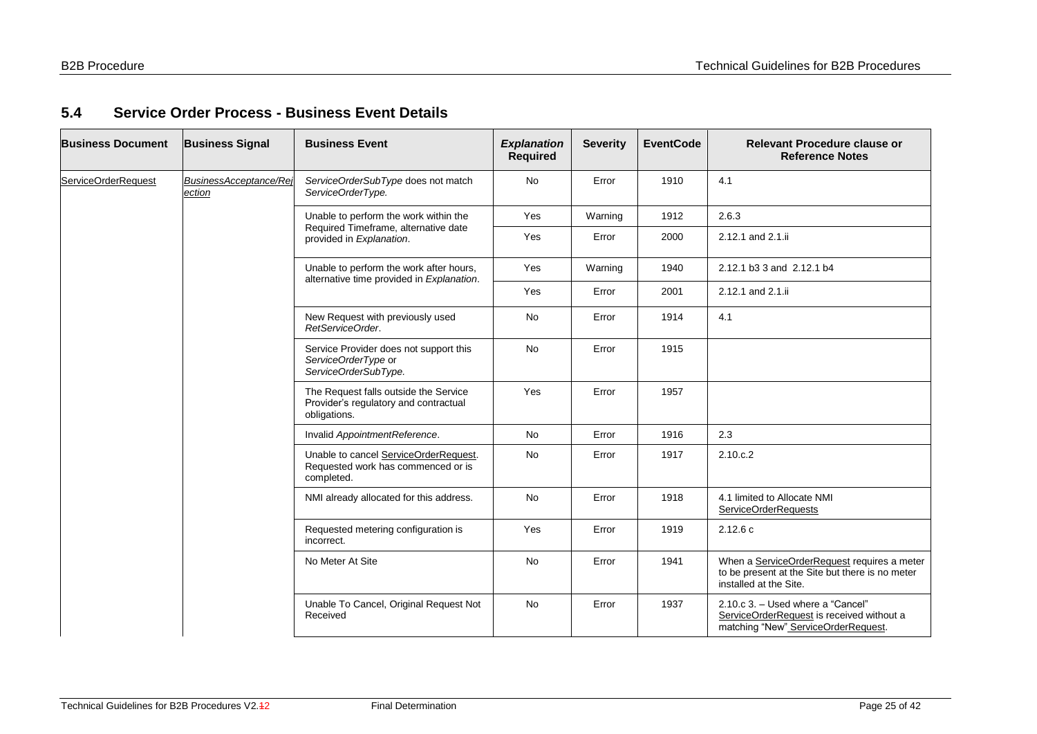## **5.4 Service Order Process - Business Event Details**

<span id="page-24-0"></span>

| <b>Business Document</b> | <b>Business Signal</b>           | <b>Business Event</b>                                                                          | <b>Explanation</b><br><b>Required</b> | <b>Severity</b> | <b>EventCode</b> | <b>Relevant Procedure clause or</b><br><b>Reference Notes</b>                                                            |
|--------------------------|----------------------------------|------------------------------------------------------------------------------------------------|---------------------------------------|-----------------|------------------|--------------------------------------------------------------------------------------------------------------------------|
| ServiceOrderRequest      | BusinessAcceptance/Rej<br>ection | ServiceOrderSubType does not match<br>ServiceOrderType.                                        | <b>No</b>                             | Error           | 1910             | 4.1                                                                                                                      |
|                          |                                  | Unable to perform the work within the                                                          | Yes                                   | Warning         | 1912             | 2.6.3                                                                                                                    |
|                          |                                  | Required Timeframe, alternative date<br>provided in Explanation.                               | Yes                                   | Error           | 2000             | 2.12.1 and 2.1.ii                                                                                                        |
|                          |                                  | Unable to perform the work after hours,<br>alternative time provided in Explanation.           | Yes                                   | Warning         | 1940             | 2.12.1 b3 3 and 2.12.1 b4                                                                                                |
|                          |                                  |                                                                                                | Yes                                   | Error           | 2001             | 2.12.1 and 2.1.ii                                                                                                        |
|                          |                                  | New Request with previously used<br>RetServiceOrder.                                           | <b>No</b>                             | Error           | 1914             | 4.1                                                                                                                      |
|                          |                                  | Service Provider does not support this<br>ServiceOrderType or<br>ServiceOrderSubType.          | <b>No</b>                             | Error           | 1915             |                                                                                                                          |
|                          |                                  | The Request falls outside the Service<br>Provider's regulatory and contractual<br>obligations. | Yes                                   | Error           | 1957             |                                                                                                                          |
|                          |                                  | Invalid AppointmentReference.                                                                  | <b>No</b>                             | Error           | 1916             | 2.3                                                                                                                      |
|                          |                                  | Unable to cancel ServiceOrderRequest.<br>Requested work has commenced or is<br>completed.      | <b>No</b>                             | Error           | 1917             | 2.10.c.2                                                                                                                 |
|                          |                                  | NMI already allocated for this address.                                                        | <b>No</b>                             | Error           | 1918             | 4.1 limited to Allocate NMI<br>ServiceOrderRequests                                                                      |
|                          |                                  | Requested metering configuration is<br>incorrect.                                              | Yes                                   | Error           | 1919             | 2.12.6c                                                                                                                  |
|                          |                                  | No Meter At Site                                                                               | No                                    | Error           | 1941             | When a ServiceOrderRequest requires a meter<br>to be present at the Site but there is no meter<br>installed at the Site. |
|                          |                                  | Unable To Cancel, Original Request Not<br>Received                                             | <b>No</b>                             | Error           | 1937             | 2.10.c 3. - Used where a "Cancel"<br>ServiceOrderRequest is received without a<br>matching "New" ServiceOrderRequest.    |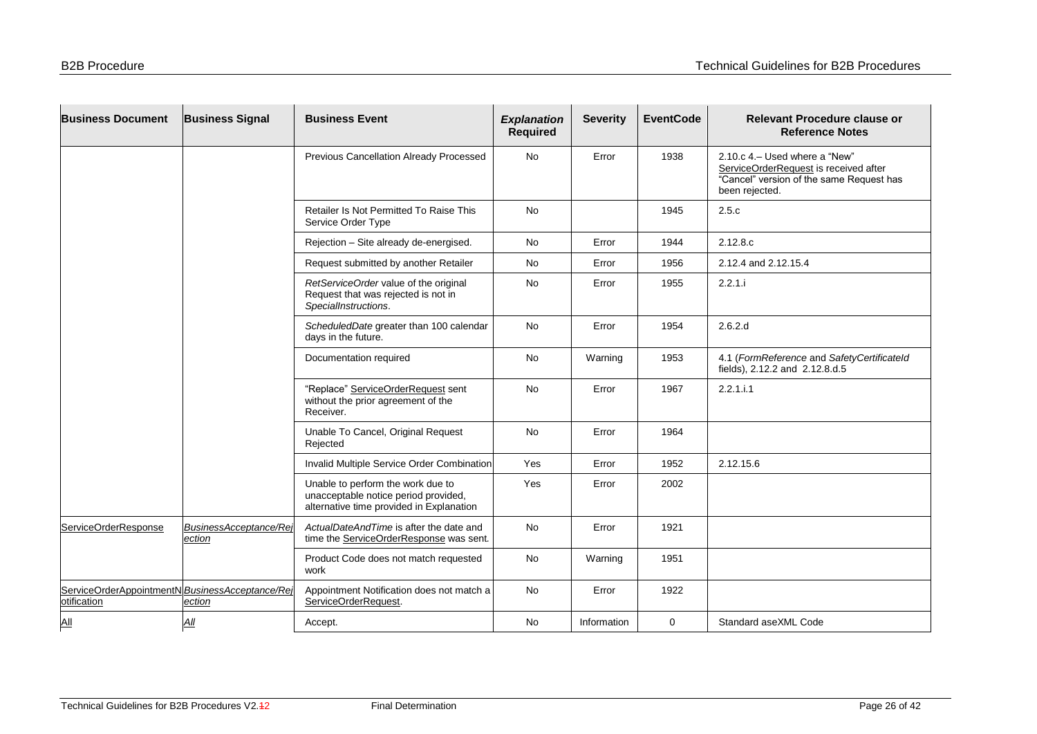| <b>Business Document</b>                                      | <b>Business Signal</b>          | <b>Business Event</b>                                                                                                 | <b>Explanation</b><br><b>Required</b> | <b>Severity</b> | <b>EventCode</b> | <b>Relevant Procedure clause or</b><br><b>Reference Notes</b>                                                                         |
|---------------------------------------------------------------|---------------------------------|-----------------------------------------------------------------------------------------------------------------------|---------------------------------------|-----------------|------------------|---------------------------------------------------------------------------------------------------------------------------------------|
|                                                               |                                 | Previous Cancellation Already Processed                                                                               | <b>No</b>                             | Error           | 1938             | 2.10.c 4. - Used where a "New"<br>ServiceOrderRequest is received after<br>"Cancel" version of the same Request has<br>been rejected. |
|                                                               |                                 | Retailer Is Not Permitted To Raise This<br>Service Order Type                                                         | <b>No</b>                             |                 | 1945             | 2.5.c                                                                                                                                 |
|                                                               |                                 | Rejection - Site already de-energised.                                                                                | <b>No</b>                             | Error           | 1944             | 2.12.8.c                                                                                                                              |
|                                                               |                                 | Request submitted by another Retailer                                                                                 | No                                    | Error           | 1956             | 2.12.4 and 2.12.15.4                                                                                                                  |
|                                                               |                                 | RetServiceOrder value of the original<br>Request that was rejected is not in<br>SpecialInstructions.                  | No                                    | Error           | 1955             | 2.2.1.i                                                                                                                               |
|                                                               |                                 | ScheduledDate greater than 100 calendar<br>days in the future.                                                        | <b>No</b>                             | Error           | 1954             | 2.6.2.d                                                                                                                               |
|                                                               |                                 | Documentation required                                                                                                | <b>No</b>                             | Warning         | 1953             | 4.1 (FormReference and SafetyCertificateId<br>fields), 2.12.2 and 2.12.8.d.5                                                          |
|                                                               |                                 | "Replace" ServiceOrderRequest sent<br>without the prior agreement of the<br>Receiver.                                 | <b>No</b>                             | Error           | 1967             | 2.2.1.i.1                                                                                                                             |
|                                                               |                                 | Unable To Cancel, Original Request<br>Rejected                                                                        | <b>No</b>                             | Error           | 1964             |                                                                                                                                       |
|                                                               |                                 | Invalid Multiple Service Order Combination                                                                            | Yes                                   | Error           | 1952             | 2.12.15.6                                                                                                                             |
|                                                               |                                 | Unable to perform the work due to<br>unacceptable notice period provided,<br>alternative time provided in Explanation | Yes                                   | Error           | 2002             |                                                                                                                                       |
| ServiceOrderResponse                                          | BusinessAcceptance/Re<br>ection | ActualDateAndTime is after the date and<br>time the ServiceOrderResponse was sent.                                    | No                                    | Error           | 1921             |                                                                                                                                       |
|                                                               |                                 | Product Code does not match requested<br>work                                                                         | No                                    | Warning         | 1951             |                                                                                                                                       |
| ServiceOrderAppointmentNBusinessAcceptance/Rej<br>otification | ection                          | Appointment Notification does not match a<br>ServiceOrderRequest.                                                     | No                                    | Error           | 1922             |                                                                                                                                       |
| $\Delta$ II                                                   | All                             | Accept.                                                                                                               | No                                    | Information     | $\mathbf 0$      | Standard aseXML Code                                                                                                                  |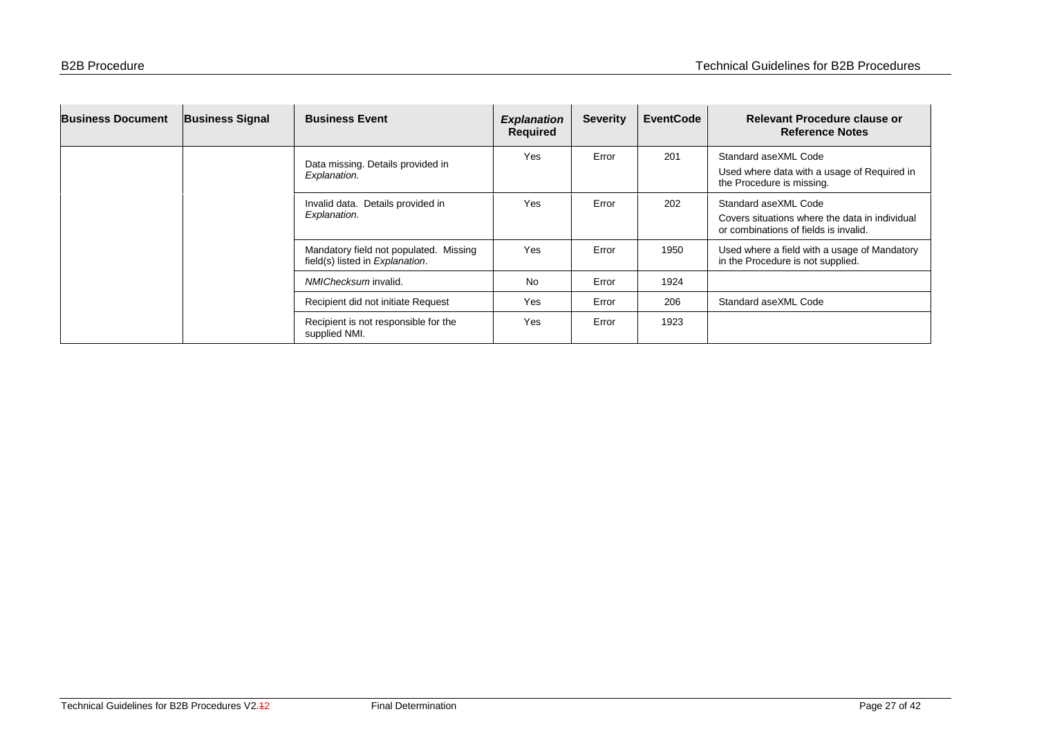| <b>Business Document</b> | <b>Business Signal</b> | <b>Business Event</b>                                                     | <b>Explanation</b><br>Required | <b>Severity</b> | <b>EventCode</b> | Relevant Procedure clause or<br><b>Reference Notes</b>                                                          |
|--------------------------|------------------------|---------------------------------------------------------------------------|--------------------------------|-----------------|------------------|-----------------------------------------------------------------------------------------------------------------|
|                          |                        | Data missing. Details provided in<br>Explanation.                         | Yes                            | Error           | 201              | Standard aseXML Code<br>Used where data with a usage of Required in<br>the Procedure is missing.                |
|                          |                        | Invalid data. Details provided in<br>Explanation.                         | Yes                            | Error           | 202              | Standard aseXML Code<br>Covers situations where the data in individual<br>or combinations of fields is invalid. |
|                          |                        | Mandatory field not populated. Missing<br>field(s) listed in Explanation. | Yes                            | Error           | 1950             | Used where a field with a usage of Mandatory<br>in the Procedure is not supplied.                               |
|                          |                        | NMIChecksum invalid.                                                      | <b>No</b>                      | Error           | 1924             |                                                                                                                 |
|                          |                        | Recipient did not initiate Request                                        | Yes                            | Error           | 206              | Standard aseXML Code                                                                                            |
|                          |                        | Recipient is not responsible for the<br>supplied NMI.                     | Yes                            | Error           | 1923             |                                                                                                                 |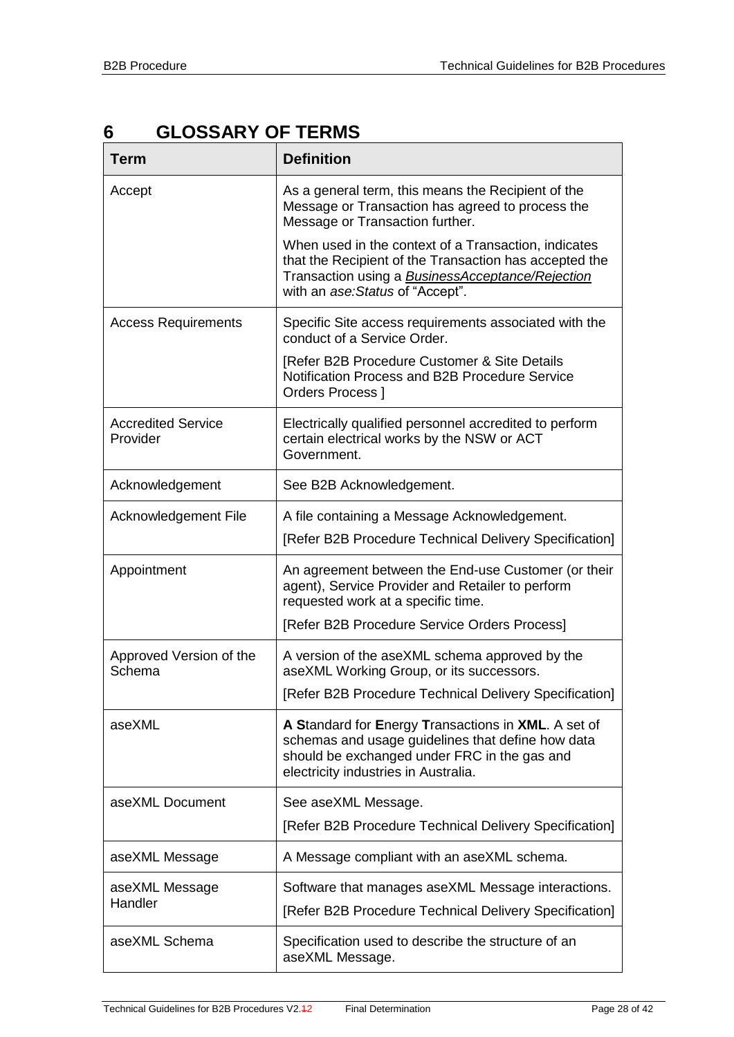# <span id="page-27-0"></span>**6 GLOSSARY OF TERMS**

| <b>Term</b>                           | <b>Definition</b>                                                                                                                                                                                             |
|---------------------------------------|---------------------------------------------------------------------------------------------------------------------------------------------------------------------------------------------------------------|
| Accept                                | As a general term, this means the Recipient of the<br>Message or Transaction has agreed to process the<br>Message or Transaction further.                                                                     |
|                                       | When used in the context of a Transaction, indicates<br>that the Recipient of the Transaction has accepted the<br>Transaction using a <b>BusinessAcceptance/Rejection</b><br>with an ase: Status of "Accept". |
| <b>Access Requirements</b>            | Specific Site access requirements associated with the<br>conduct of a Service Order.                                                                                                                          |
|                                       | [Refer B2B Procedure Customer & Site Details<br>Notification Process and B2B Procedure Service<br>Orders Process ]                                                                                            |
| <b>Accredited Service</b><br>Provider | Electrically qualified personnel accredited to perform<br>certain electrical works by the NSW or ACT<br>Government.                                                                                           |
| Acknowledgement                       | See B2B Acknowledgement.                                                                                                                                                                                      |
| Acknowledgement File                  | A file containing a Message Acknowledgement.                                                                                                                                                                  |
|                                       | [Refer B2B Procedure Technical Delivery Specification]                                                                                                                                                        |
| Appointment                           | An agreement between the End-use Customer (or their<br>agent), Service Provider and Retailer to perform<br>requested work at a specific time.                                                                 |
|                                       | [Refer B2B Procedure Service Orders Process]                                                                                                                                                                  |
| Approved Version of the<br>Schema     | A version of the aseXML schema approved by the<br>aseXML Working Group, or its successors.                                                                                                                    |
|                                       | [Refer B2B Procedure Technical Delivery Specification]                                                                                                                                                        |
| aseXML                                | A Standard for Energy Transactions in XML. A set of<br>schemas and usage guidelines that define how data<br>should be exchanged under FRC in the gas and<br>electricity industries in Australia.              |
| aseXML Document                       | See aseXML Message.                                                                                                                                                                                           |
|                                       | [Refer B2B Procedure Technical Delivery Specification]                                                                                                                                                        |
| aseXML Message                        | A Message compliant with an aseXML schema.                                                                                                                                                                    |
| aseXML Message<br>Handler             | Software that manages aseXML Message interactions.<br>[Refer B2B Procedure Technical Delivery Specification]                                                                                                  |
| aseXML Schema                         | Specification used to describe the structure of an<br>aseXML Message.                                                                                                                                         |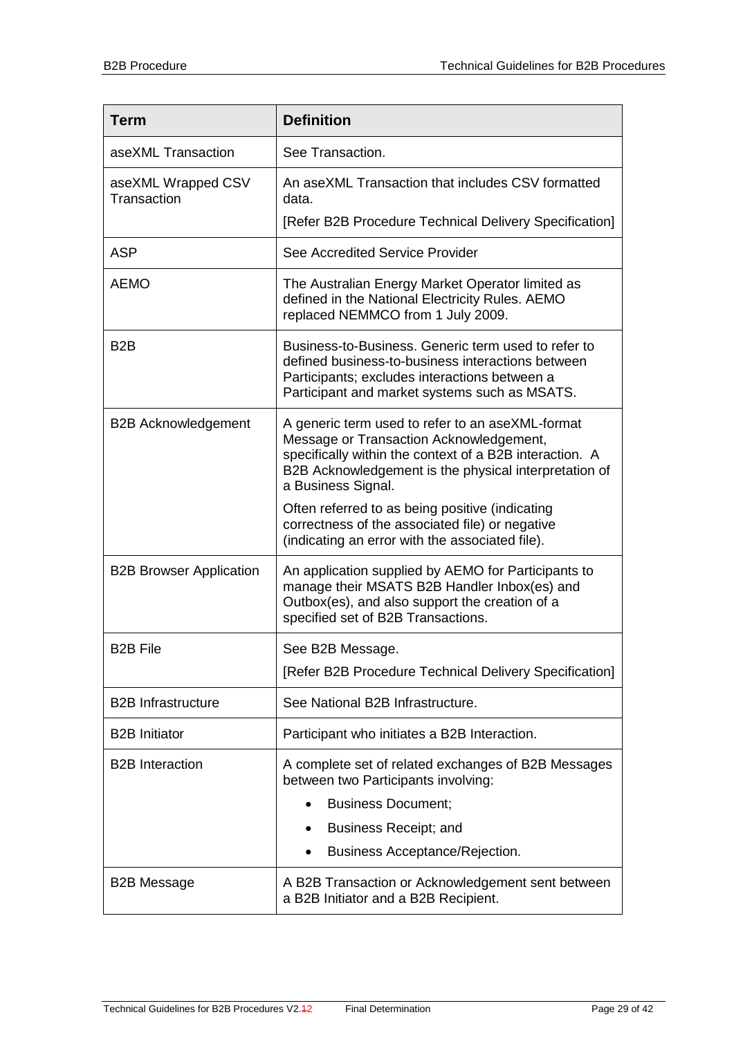| <b>Term</b>                       | <b>Definition</b>                                                                                                                                                                                                                     |  |  |  |  |  |
|-----------------------------------|---------------------------------------------------------------------------------------------------------------------------------------------------------------------------------------------------------------------------------------|--|--|--|--|--|
| aseXML Transaction                | See Transaction.                                                                                                                                                                                                                      |  |  |  |  |  |
| aseXML Wrapped CSV<br>Transaction | An aseXML Transaction that includes CSV formatted<br>data.                                                                                                                                                                            |  |  |  |  |  |
|                                   | [Refer B2B Procedure Technical Delivery Specification]                                                                                                                                                                                |  |  |  |  |  |
| <b>ASP</b>                        | See Accredited Service Provider                                                                                                                                                                                                       |  |  |  |  |  |
| <b>AEMO</b>                       | The Australian Energy Market Operator limited as<br>defined in the National Electricity Rules. AEMO<br>replaced NEMMCO from 1 July 2009.                                                                                              |  |  |  |  |  |
| B <sub>2</sub> B                  | Business-to-Business. Generic term used to refer to<br>defined business-to-business interactions between<br>Participants; excludes interactions between a<br>Participant and market systems such as MSATS.                            |  |  |  |  |  |
| <b>B2B Acknowledgement</b>        | A generic term used to refer to an aseXML-format<br>Message or Transaction Acknowledgement,<br>specifically within the context of a B2B interaction. A<br>B2B Acknowledgement is the physical interpretation of<br>a Business Signal. |  |  |  |  |  |
|                                   | Often referred to as being positive (indicating<br>correctness of the associated file) or negative<br>(indicating an error with the associated file).                                                                                 |  |  |  |  |  |
| <b>B2B Browser Application</b>    | An application supplied by AEMO for Participants to<br>manage their MSATS B2B Handler Inbox(es) and<br>Outbox(es), and also support the creation of a<br>specified set of B2B Transactions.                                           |  |  |  |  |  |
| <b>B2B File</b>                   | See B2B Message.                                                                                                                                                                                                                      |  |  |  |  |  |
|                                   | [Refer B2B Procedure Technical Delivery Specification]                                                                                                                                                                                |  |  |  |  |  |
| <b>B2B Infrastructure</b>         | See National B2B Infrastructure.                                                                                                                                                                                                      |  |  |  |  |  |
| <b>B2B</b> Initiator              | Participant who initiates a B2B Interaction.                                                                                                                                                                                          |  |  |  |  |  |
| <b>B2B</b> Interaction            | A complete set of related exchanges of B2B Messages<br>between two Participants involving:                                                                                                                                            |  |  |  |  |  |
|                                   | <b>Business Document;</b>                                                                                                                                                                                                             |  |  |  |  |  |
|                                   | Business Receipt; and                                                                                                                                                                                                                 |  |  |  |  |  |
|                                   | Business Acceptance/Rejection.                                                                                                                                                                                                        |  |  |  |  |  |
| <b>B2B Message</b>                | A B2B Transaction or Acknowledgement sent between<br>a B2B Initiator and a B2B Recipient.                                                                                                                                             |  |  |  |  |  |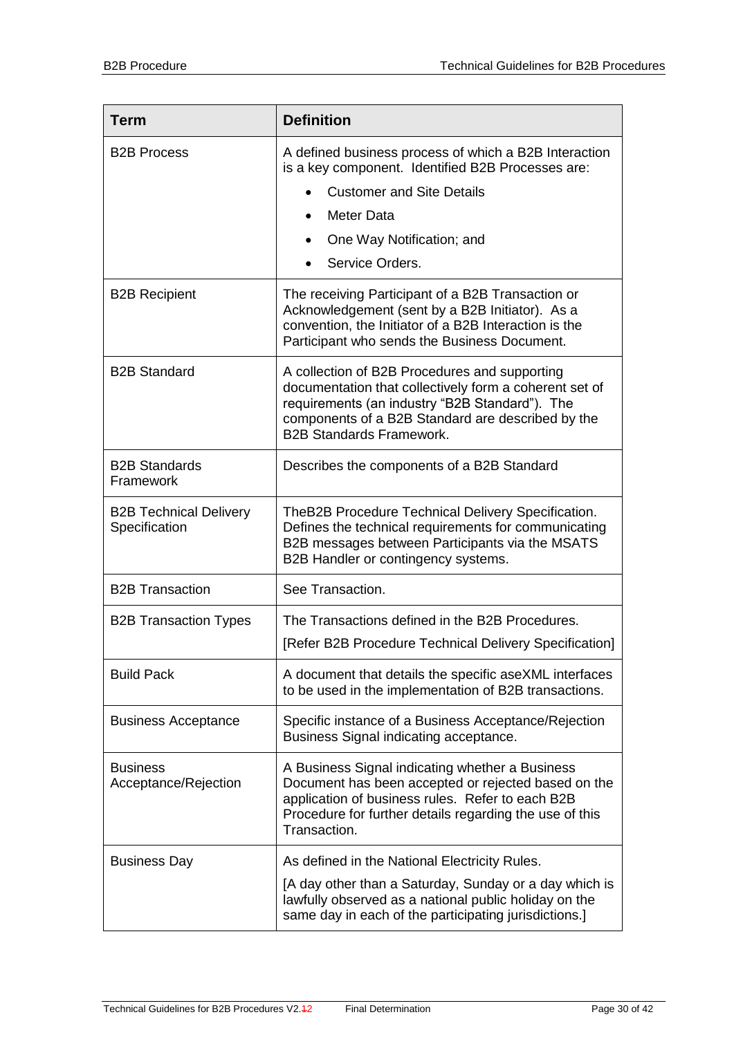| <b>Term</b>                                    | <b>Definition</b>                                                                                                                                                                                                                                 |  |  |  |  |
|------------------------------------------------|---------------------------------------------------------------------------------------------------------------------------------------------------------------------------------------------------------------------------------------------------|--|--|--|--|
| <b>B2B Process</b>                             | A defined business process of which a B2B Interaction<br>is a key component. Identified B2B Processes are:                                                                                                                                        |  |  |  |  |
|                                                | <b>Customer and Site Details</b>                                                                                                                                                                                                                  |  |  |  |  |
|                                                | Meter Data<br>$\bullet$                                                                                                                                                                                                                           |  |  |  |  |
|                                                | One Way Notification; and<br>$\bullet$                                                                                                                                                                                                            |  |  |  |  |
|                                                | Service Orders.                                                                                                                                                                                                                                   |  |  |  |  |
| <b>B2B Recipient</b>                           | The receiving Participant of a B2B Transaction or<br>Acknowledgement (sent by a B2B Initiator). As a<br>convention, the Initiator of a B2B Interaction is the<br>Participant who sends the Business Document.                                     |  |  |  |  |
| <b>B2B Standard</b>                            | A collection of B2B Procedures and supporting<br>documentation that collectively form a coherent set of<br>requirements (an industry "B2B Standard"). The<br>components of a B2B Standard are described by the<br><b>B2B Standards Framework.</b> |  |  |  |  |
| <b>B2B Standards</b><br>Framework              | Describes the components of a B2B Standard                                                                                                                                                                                                        |  |  |  |  |
| <b>B2B Technical Delivery</b><br>Specification | TheB2B Procedure Technical Delivery Specification.<br>Defines the technical requirements for communicating<br>B2B messages between Participants via the MSATS<br>B2B Handler or contingency systems.                                              |  |  |  |  |
| <b>B2B Transaction</b>                         | See Transaction.                                                                                                                                                                                                                                  |  |  |  |  |
| <b>B2B Transaction Types</b>                   | The Transactions defined in the B2B Procedures.                                                                                                                                                                                                   |  |  |  |  |
|                                                | [Refer B2B Procedure Technical Delivery Specification]                                                                                                                                                                                            |  |  |  |  |
| <b>Build Pack</b>                              | A document that details the specific aseXML interfaces<br>to be used in the implementation of B2B transactions.                                                                                                                                   |  |  |  |  |
| <b>Business Acceptance</b>                     | Specific instance of a Business Acceptance/Rejection<br>Business Signal indicating acceptance.                                                                                                                                                    |  |  |  |  |
| <b>Business</b><br>Acceptance/Rejection        | A Business Signal indicating whether a Business<br>Document has been accepted or rejected based on the<br>application of business rules. Refer to each B2B<br>Procedure for further details regarding the use of this<br>Transaction.             |  |  |  |  |
| <b>Business Day</b>                            | As defined in the National Electricity Rules.                                                                                                                                                                                                     |  |  |  |  |
|                                                | [A day other than a Saturday, Sunday or a day which is<br>lawfully observed as a national public holiday on the<br>same day in each of the participating jurisdictions.]                                                                          |  |  |  |  |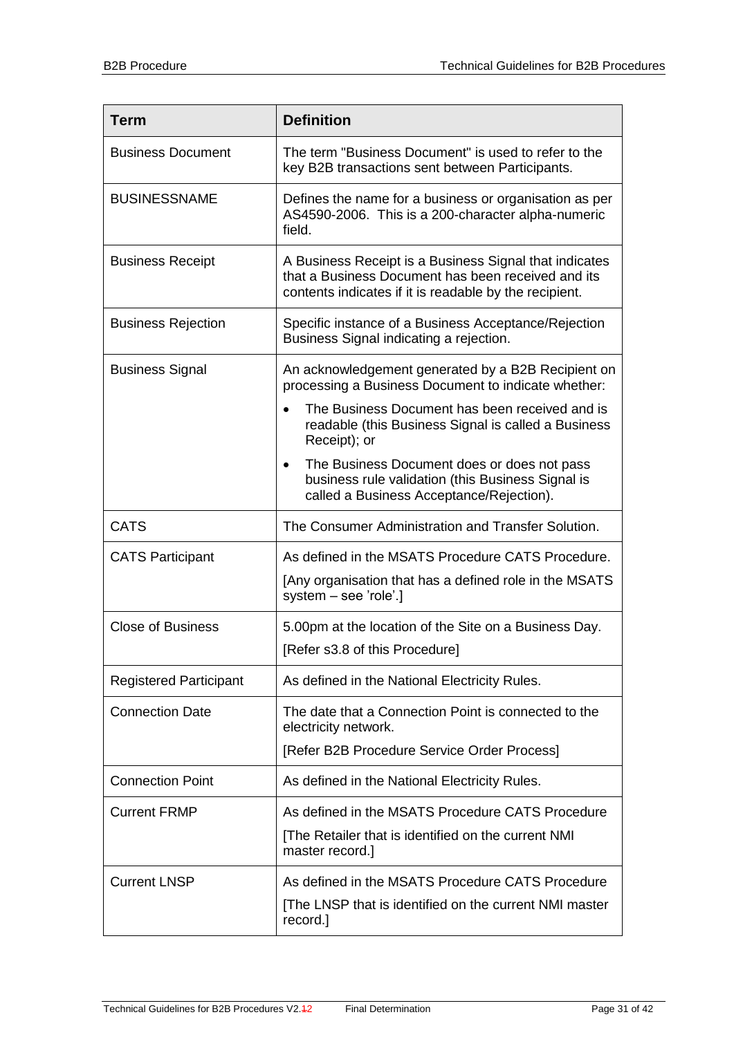| <b>Term</b>                   | <b>Definition</b>                                                                                                                                                      |
|-------------------------------|------------------------------------------------------------------------------------------------------------------------------------------------------------------------|
| <b>Business Document</b>      | The term "Business Document" is used to refer to the<br>key B2B transactions sent between Participants.                                                                |
| <b>BUSINESSNAME</b>           | Defines the name for a business or organisation as per<br>AS4590-2006. This is a 200-character alpha-numeric<br>field.                                                 |
| <b>Business Receipt</b>       | A Business Receipt is a Business Signal that indicates<br>that a Business Document has been received and its<br>contents indicates if it is readable by the recipient. |
| <b>Business Rejection</b>     | Specific instance of a Business Acceptance/Rejection<br>Business Signal indicating a rejection.                                                                        |
| <b>Business Signal</b>        | An acknowledgement generated by a B2B Recipient on<br>processing a Business Document to indicate whether:                                                              |
|                               | The Business Document has been received and is<br>readable (this Business Signal is called a Business<br>Receipt); or                                                  |
|                               | The Business Document does or does not pass<br>$\bullet$<br>business rule validation (this Business Signal is<br>called a Business Acceptance/Rejection).              |
| <b>CATS</b>                   | The Consumer Administration and Transfer Solution.                                                                                                                     |
| <b>CATS Participant</b>       | As defined in the MSATS Procedure CATS Procedure.<br>[Any organisation that has a defined role in the MSATS<br>system - see 'role'.]                                   |
| <b>Close of Business</b>      | 5.00pm at the location of the Site on a Business Day.<br>[Refer s3.8 of this Procedure]                                                                                |
| <b>Registered Participant</b> | As defined in the National Electricity Rules.                                                                                                                          |
| <b>Connection Date</b>        | The date that a Connection Point is connected to the<br>electricity network.                                                                                           |
|                               | [Refer B2B Procedure Service Order Process]                                                                                                                            |
| <b>Connection Point</b>       | As defined in the National Electricity Rules.                                                                                                                          |
| <b>Current FRMP</b>           | As defined in the MSATS Procedure CATS Procedure<br>[The Retailer that is identified on the current NMI<br>master record.]                                             |
| <b>Current LNSP</b>           | As defined in the MSATS Procedure CATS Procedure<br>[The LNSP that is identified on the current NMI master<br>record.]                                                 |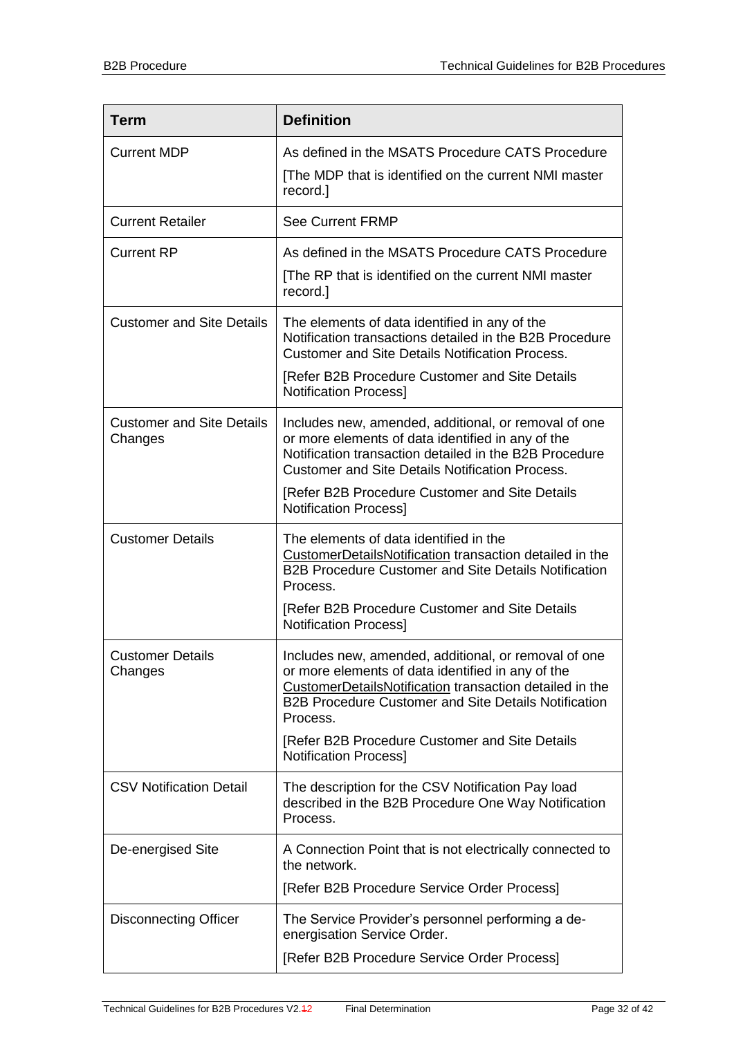| <b>Term</b>                                 | <b>Definition</b>                                                                                                                                                                                                                                                               |
|---------------------------------------------|---------------------------------------------------------------------------------------------------------------------------------------------------------------------------------------------------------------------------------------------------------------------------------|
| <b>Current MDP</b>                          | As defined in the MSATS Procedure CATS Procedure<br>[The MDP that is identified on the current NMI master<br>record.]                                                                                                                                                           |
| <b>Current Retailer</b>                     | <b>See Current FRMP</b>                                                                                                                                                                                                                                                         |
| <b>Current RP</b>                           | As defined in the MSATS Procedure CATS Procedure<br>[The RP that is identified on the current NMI master<br>record.]                                                                                                                                                            |
| <b>Customer and Site Details</b>            | The elements of data identified in any of the<br>Notification transactions detailed in the B2B Procedure<br><b>Customer and Site Details Notification Process.</b>                                                                                                              |
|                                             | [Refer B2B Procedure Customer and Site Details<br><b>Notification Process]</b>                                                                                                                                                                                                  |
| <b>Customer and Site Details</b><br>Changes | Includes new, amended, additional, or removal of one<br>or more elements of data identified in any of the<br>Notification transaction detailed in the B2B Procedure<br><b>Customer and Site Details Notification Process.</b><br>[Refer B2B Procedure Customer and Site Details |
|                                             | <b>Notification Process]</b>                                                                                                                                                                                                                                                    |
| <b>Customer Details</b>                     | The elements of data identified in the<br>CustomerDetailsNotification transaction detailed in the<br><b>B2B Procedure Customer and Site Details Notification</b><br>Process.<br>[Refer B2B Procedure Customer and Site Details                                                  |
|                                             | <b>Notification Process]</b>                                                                                                                                                                                                                                                    |
| <b>Customer Details</b><br>Changes          | Includes new, amended, additional, or removal of one<br>or more elements of data identified in any of the<br>CustomerDetailsNotification transaction detailed in the<br><b>B2B Procedure Customer and Site Details Notification</b><br>Process.                                 |
|                                             | [Refer B2B Procedure Customer and Site Details<br><b>Notification Process]</b>                                                                                                                                                                                                  |
| <b>CSV Notification Detail</b>              | The description for the CSV Notification Pay load<br>described in the B2B Procedure One Way Notification<br>Process.                                                                                                                                                            |
| De-energised Site                           | A Connection Point that is not electrically connected to<br>the network.                                                                                                                                                                                                        |
|                                             | [Refer B2B Procedure Service Order Process]                                                                                                                                                                                                                                     |
| <b>Disconnecting Officer</b>                | The Service Provider's personnel performing a de-<br>energisation Service Order.                                                                                                                                                                                                |
|                                             | [Refer B2B Procedure Service Order Process]                                                                                                                                                                                                                                     |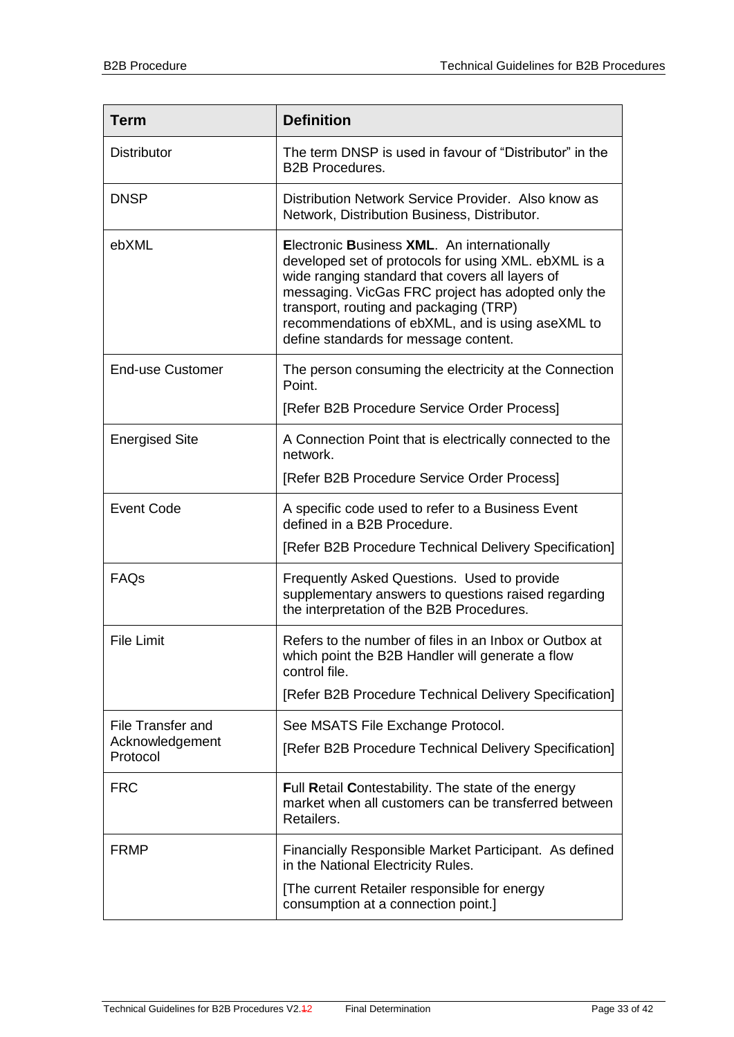| <b>Term</b>                 | <b>Definition</b>                                                                                                                                                                                                                                                                                                                                   |
|-----------------------------|-----------------------------------------------------------------------------------------------------------------------------------------------------------------------------------------------------------------------------------------------------------------------------------------------------------------------------------------------------|
| <b>Distributor</b>          | The term DNSP is used in favour of "Distributor" in the<br><b>B2B Procedures.</b>                                                                                                                                                                                                                                                                   |
| <b>DNSP</b>                 | Distribution Network Service Provider. Also know as<br>Network, Distribution Business, Distributor.                                                                                                                                                                                                                                                 |
| ebXML                       | Electronic Business XML. An internationally<br>developed set of protocols for using XML. ebXML is a<br>wide ranging standard that covers all layers of<br>messaging. VicGas FRC project has adopted only the<br>transport, routing and packaging (TRP)<br>recommendations of ebXML, and is using aseXML to<br>define standards for message content. |
| <b>End-use Customer</b>     | The person consuming the electricity at the Connection<br>Point.                                                                                                                                                                                                                                                                                    |
|                             | [Refer B2B Procedure Service Order Process]                                                                                                                                                                                                                                                                                                         |
| <b>Energised Site</b>       | A Connection Point that is electrically connected to the<br>network.                                                                                                                                                                                                                                                                                |
|                             | [Refer B2B Procedure Service Order Process]                                                                                                                                                                                                                                                                                                         |
| <b>Event Code</b>           | A specific code used to refer to a Business Event<br>defined in a B2B Procedure.                                                                                                                                                                                                                                                                    |
|                             | [Refer B2B Procedure Technical Delivery Specification]                                                                                                                                                                                                                                                                                              |
| FAQs                        | Frequently Asked Questions. Used to provide<br>supplementary answers to questions raised regarding<br>the interpretation of the B2B Procedures.                                                                                                                                                                                                     |
| <b>File Limit</b>           | Refers to the number of files in an Inbox or Outbox at<br>which point the B2B Handler will generate a flow<br>control file.                                                                                                                                                                                                                         |
|                             | [Refer B2B Procedure Technical Delivery Specification]                                                                                                                                                                                                                                                                                              |
| <b>File Transfer and</b>    | See MSATS File Exchange Protocol.                                                                                                                                                                                                                                                                                                                   |
| Acknowledgement<br>Protocol | [Refer B2B Procedure Technical Delivery Specification]                                                                                                                                                                                                                                                                                              |
| <b>FRC</b>                  | Full Retail Contestability. The state of the energy<br>market when all customers can be transferred between<br>Retailers.                                                                                                                                                                                                                           |
| <b>FRMP</b>                 | Financially Responsible Market Participant. As defined<br>in the National Electricity Rules.                                                                                                                                                                                                                                                        |
|                             | [The current Retailer responsible for energy<br>consumption at a connection point.]                                                                                                                                                                                                                                                                 |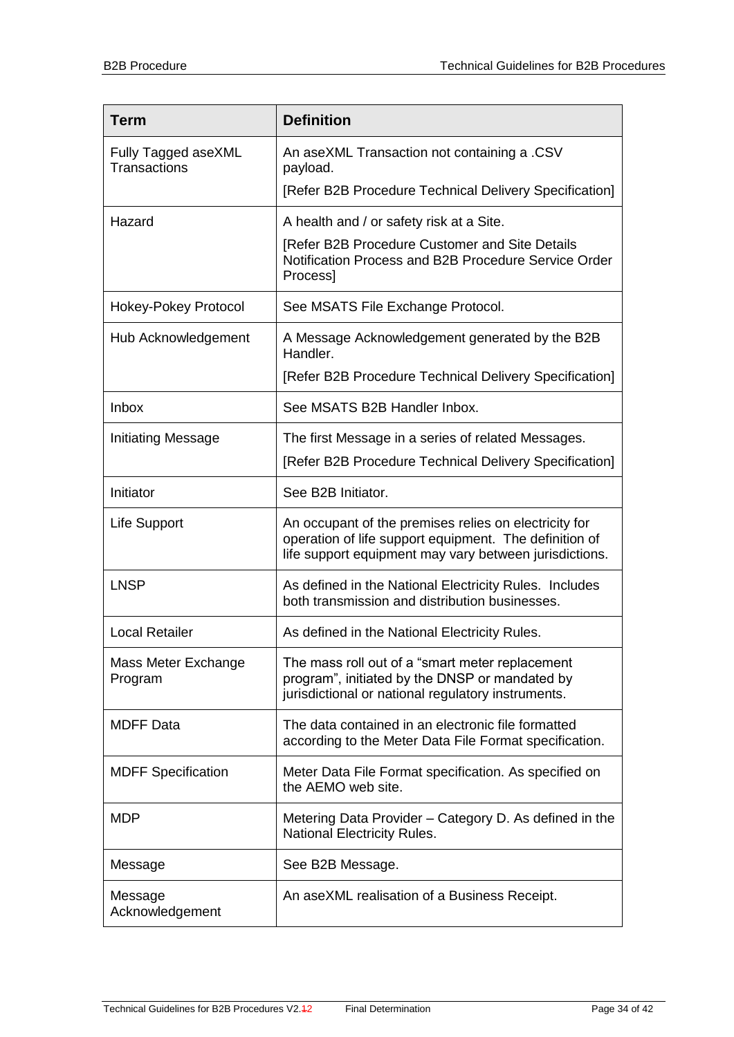| <b>Term</b>                         | <b>Definition</b>                                                                                                                                                         |
|-------------------------------------|---------------------------------------------------------------------------------------------------------------------------------------------------------------------------|
| Fully Tagged aseXML<br>Transactions | An aseXML Transaction not containing a .CSV<br>payload.                                                                                                                   |
|                                     | [Refer B2B Procedure Technical Delivery Specification]                                                                                                                    |
| Hazard                              | A health and / or safety risk at a Site.                                                                                                                                  |
|                                     | [Refer B2B Procedure Customer and Site Details<br>Notification Process and B2B Procedure Service Order<br>Process]                                                        |
| Hokey-Pokey Protocol                | See MSATS File Exchange Protocol.                                                                                                                                         |
| Hub Acknowledgement                 | A Message Acknowledgement generated by the B2B<br>Handler.                                                                                                                |
|                                     | [Refer B2B Procedure Technical Delivery Specification]                                                                                                                    |
| <b>Inbox</b>                        | See MSATS B2B Handler Inbox.                                                                                                                                              |
| Initiating Message                  | The first Message in a series of related Messages.                                                                                                                        |
|                                     | [Refer B2B Procedure Technical Delivery Specification]                                                                                                                    |
| Initiator                           | See B2B Initiator.                                                                                                                                                        |
| Life Support                        | An occupant of the premises relies on electricity for<br>operation of life support equipment. The definition of<br>life support equipment may vary between jurisdictions. |
| <b>LNSP</b>                         | As defined in the National Electricity Rules. Includes<br>both transmission and distribution businesses.                                                                  |
| <b>Local Retailer</b>               | As defined in the National Electricity Rules.                                                                                                                             |
| Mass Meter Exchange<br>Program      | The mass roll out of a "smart meter replacement<br>program", initiated by the DNSP or mandated by<br>jurisdictional or national regulatory instruments.                   |
| <b>MDFF Data</b>                    | The data contained in an electronic file formatted<br>according to the Meter Data File Format specification.                                                              |
| <b>MDFF Specification</b>           | Meter Data File Format specification. As specified on<br>the AEMO web site.                                                                                               |
| <b>MDP</b>                          | Metering Data Provider – Category D. As defined in the<br>National Electricity Rules.                                                                                     |
| Message                             | See B2B Message.                                                                                                                                                          |
| Message<br>Acknowledgement          | An aseXML realisation of a Business Receipt.                                                                                                                              |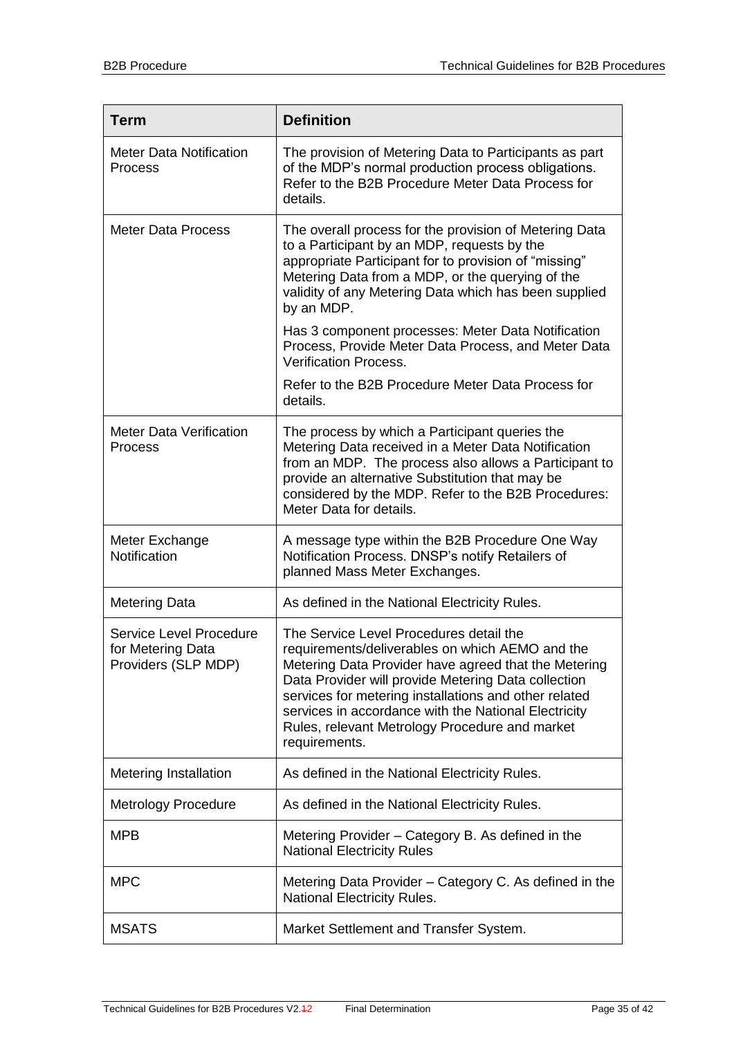| <b>Term</b>                                                         | <b>Definition</b>                                                                                                                                                                                                                                                                                                                                                                             |
|---------------------------------------------------------------------|-----------------------------------------------------------------------------------------------------------------------------------------------------------------------------------------------------------------------------------------------------------------------------------------------------------------------------------------------------------------------------------------------|
| <b>Meter Data Notification</b><br>Process                           | The provision of Metering Data to Participants as part<br>of the MDP's normal production process obligations.<br>Refer to the B2B Procedure Meter Data Process for<br>details.                                                                                                                                                                                                                |
| <b>Meter Data Process</b>                                           | The overall process for the provision of Metering Data<br>to a Participant by an MDP, requests by the<br>appropriate Participant for to provision of "missing"<br>Metering Data from a MDP, or the querying of the<br>validity of any Metering Data which has been supplied<br>by an MDP.                                                                                                     |
|                                                                     | Has 3 component processes: Meter Data Notification<br>Process, Provide Meter Data Process, and Meter Data<br><b>Verification Process.</b>                                                                                                                                                                                                                                                     |
|                                                                     | Refer to the B2B Procedure Meter Data Process for<br>details.                                                                                                                                                                                                                                                                                                                                 |
| <b>Meter Data Verification</b><br>Process                           | The process by which a Participant queries the<br>Metering Data received in a Meter Data Notification<br>from an MDP. The process also allows a Participant to<br>provide an alternative Substitution that may be<br>considered by the MDP. Refer to the B2B Procedures:<br>Meter Data for details.                                                                                           |
| Meter Exchange<br>Notification                                      | A message type within the B2B Procedure One Way<br>Notification Process. DNSP's notify Retailers of<br>planned Mass Meter Exchanges.                                                                                                                                                                                                                                                          |
| <b>Metering Data</b>                                                | As defined in the National Electricity Rules.                                                                                                                                                                                                                                                                                                                                                 |
| Service Level Procedure<br>for Metering Data<br>Providers (SLP MDP) | The Service Level Procedures detail the<br>requirements/deliverables on which AEMO and the<br>Metering Data Provider have agreed that the Metering<br>Data Provider will provide Metering Data collection<br>services for metering installations and other related<br>services in accordance with the National Electricity<br>Rules, relevant Metrology Procedure and market<br>requirements. |
| <b>Metering Installation</b>                                        | As defined in the National Electricity Rules.                                                                                                                                                                                                                                                                                                                                                 |
| <b>Metrology Procedure</b>                                          | As defined in the National Electricity Rules.                                                                                                                                                                                                                                                                                                                                                 |
| <b>MPB</b>                                                          | Metering Provider - Category B. As defined in the<br><b>National Electricity Rules</b>                                                                                                                                                                                                                                                                                                        |
| <b>MPC</b>                                                          | Metering Data Provider – Category C. As defined in the<br><b>National Electricity Rules.</b>                                                                                                                                                                                                                                                                                                  |
| <b>MSATS</b>                                                        | Market Settlement and Transfer System.                                                                                                                                                                                                                                                                                                                                                        |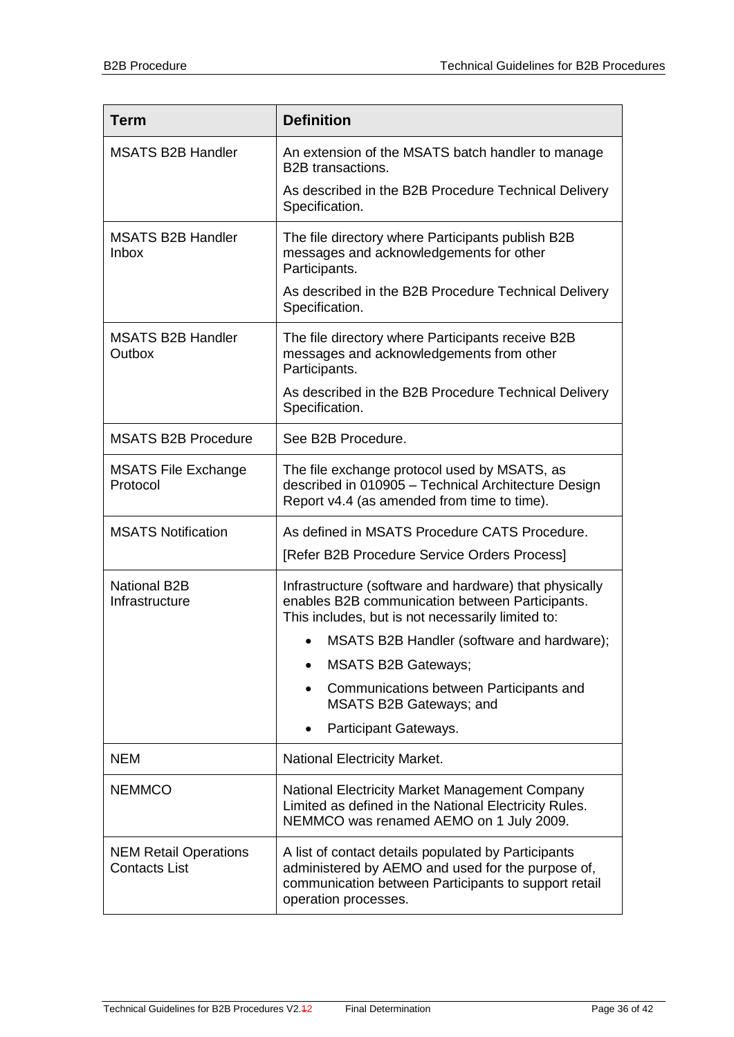| <b>Term</b>                                          | <b>Definition</b>                                                                                                                                                                        |
|------------------------------------------------------|------------------------------------------------------------------------------------------------------------------------------------------------------------------------------------------|
| <b>MSATS B2B Handler</b>                             | An extension of the MSATS batch handler to manage<br><b>B2B</b> transactions.                                                                                                            |
|                                                      | As described in the B2B Procedure Technical Delivery<br>Specification.                                                                                                                   |
| <b>MSATS B2B Handler</b><br><b>Inbox</b>             | The file directory where Participants publish B2B<br>messages and acknowledgements for other<br>Participants.                                                                            |
|                                                      | As described in the B2B Procedure Technical Delivery<br>Specification.                                                                                                                   |
| <b>MSATS B2B Handler</b><br>Outbox                   | The file directory where Participants receive B2B<br>messages and acknowledgements from other<br>Participants.                                                                           |
|                                                      | As described in the B2B Procedure Technical Delivery<br>Specification.                                                                                                                   |
| <b>MSATS B2B Procedure</b>                           | See B2B Procedure.                                                                                                                                                                       |
| <b>MSATS File Exchange</b><br>Protocol               | The file exchange protocol used by MSATS, as<br>described in 010905 - Technical Architecture Design<br>Report v4.4 (as amended from time to time).                                       |
| <b>MSATS Notification</b>                            | As defined in MSATS Procedure CATS Procedure.                                                                                                                                            |
|                                                      | [Refer B2B Procedure Service Orders Process]                                                                                                                                             |
| <b>National B2B</b><br>Infrastructure                | Infrastructure (software and hardware) that physically<br>enables B2B communication between Participants.<br>This includes, but is not necessarily limited to:                           |
|                                                      | MSATS B2B Handler (software and hardware);                                                                                                                                               |
|                                                      | <b>MSATS B2B Gateways;</b>                                                                                                                                                               |
|                                                      | Communications between Participants and<br>MSATS B2B Gateways; and                                                                                                                       |
|                                                      | Participant Gateways.                                                                                                                                                                    |
| <b>NEM</b>                                           | <b>National Electricity Market.</b>                                                                                                                                                      |
| <b>NEMMCO</b>                                        | National Electricity Market Management Company<br>Limited as defined in the National Electricity Rules.<br>NEMMCO was renamed AEMO on 1 July 2009.                                       |
| <b>NEM Retail Operations</b><br><b>Contacts List</b> | A list of contact details populated by Participants<br>administered by AEMO and used for the purpose of,<br>communication between Participants to support retail<br>operation processes. |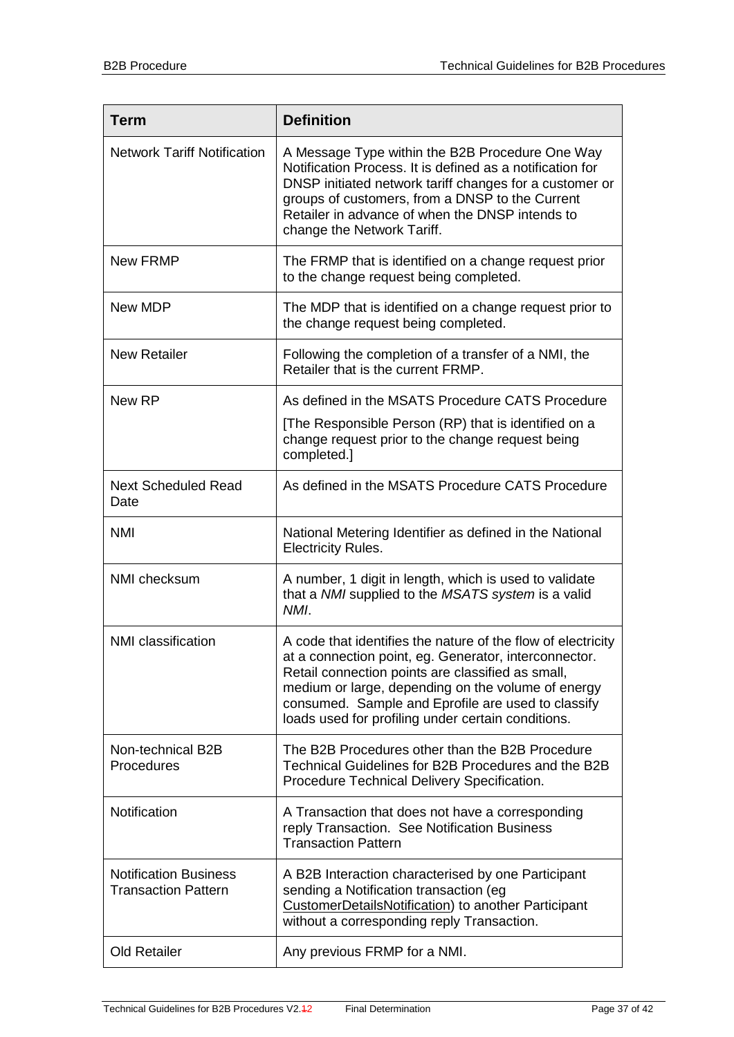| <b>Term</b>                                                | <b>Definition</b>                                                                                                                                                                                                                                                                                                                            |
|------------------------------------------------------------|----------------------------------------------------------------------------------------------------------------------------------------------------------------------------------------------------------------------------------------------------------------------------------------------------------------------------------------------|
| <b>Network Tariff Notification</b>                         | A Message Type within the B2B Procedure One Way<br>Notification Process. It is defined as a notification for<br>DNSP initiated network tariff changes for a customer or<br>groups of customers, from a DNSP to the Current<br>Retailer in advance of when the DNSP intends to<br>change the Network Tariff.                                  |
| <b>New FRMP</b>                                            | The FRMP that is identified on a change request prior<br>to the change request being completed.                                                                                                                                                                                                                                              |
| New MDP                                                    | The MDP that is identified on a change request prior to<br>the change request being completed.                                                                                                                                                                                                                                               |
| <b>New Retailer</b>                                        | Following the completion of a transfer of a NMI, the<br>Retailer that is the current FRMP.                                                                                                                                                                                                                                                   |
| New RP                                                     | As defined in the MSATS Procedure CATS Procedure                                                                                                                                                                                                                                                                                             |
|                                                            | [The Responsible Person (RP) that is identified on a<br>change request prior to the change request being<br>completed.]                                                                                                                                                                                                                      |
| <b>Next Scheduled Read</b><br>Date                         | As defined in the MSATS Procedure CATS Procedure                                                                                                                                                                                                                                                                                             |
| <b>NMI</b>                                                 | National Metering Identifier as defined in the National<br><b>Electricity Rules.</b>                                                                                                                                                                                                                                                         |
| NMI checksum                                               | A number, 1 digit in length, which is used to validate<br>that a NMI supplied to the MSATS system is a valid<br>NMI.                                                                                                                                                                                                                         |
| <b>NMI</b> classification                                  | A code that identifies the nature of the flow of electricity<br>at a connection point, eg. Generator, interconnector.<br>Retail connection points are classified as small,<br>medium or large, depending on the volume of energy<br>consumed. Sample and Eprofile are used to classify<br>loads used for profiling under certain conditions. |
| Non-technical B2B<br>Procedures                            | The B2B Procedures other than the B2B Procedure<br>Technical Guidelines for B2B Procedures and the B2B<br>Procedure Technical Delivery Specification.                                                                                                                                                                                        |
| Notification                                               | A Transaction that does not have a corresponding<br>reply Transaction. See Notification Business<br><b>Transaction Pattern</b>                                                                                                                                                                                                               |
| <b>Notification Business</b><br><b>Transaction Pattern</b> | A B2B Interaction characterised by one Participant<br>sending a Notification transaction (eg<br>CustomerDetailsNotification) to another Participant<br>without a corresponding reply Transaction.                                                                                                                                            |
| <b>Old Retailer</b>                                        | Any previous FRMP for a NMI.                                                                                                                                                                                                                                                                                                                 |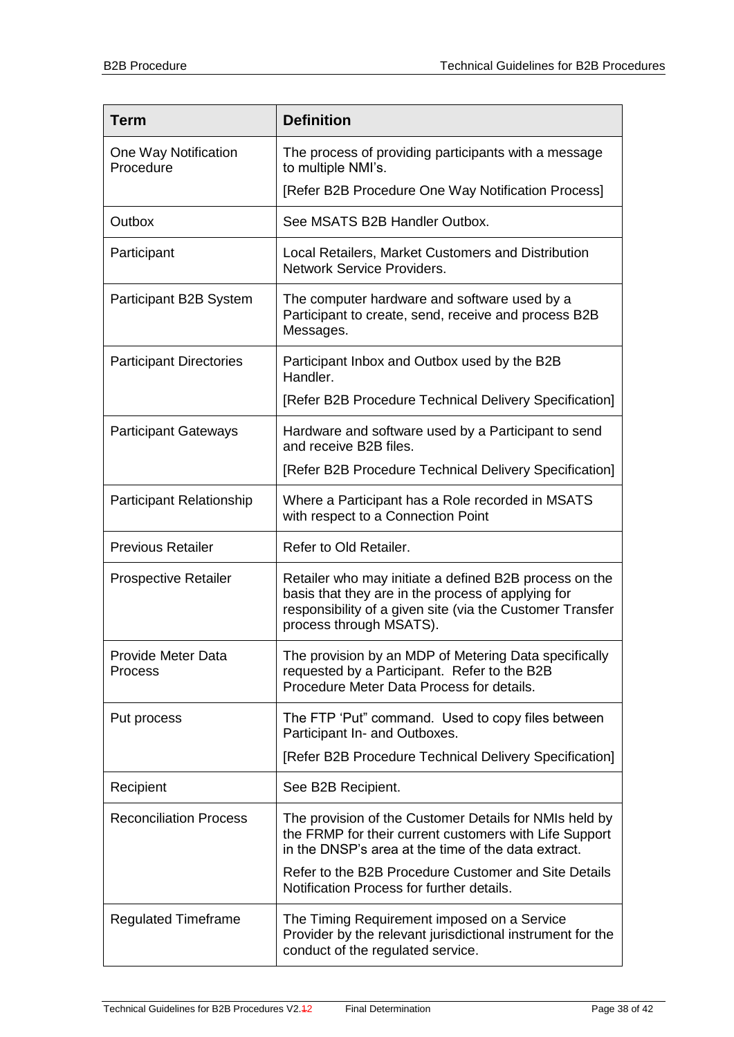| <b>Term</b>                       | <b>Definition</b>                                                                                                                                                                                    |
|-----------------------------------|------------------------------------------------------------------------------------------------------------------------------------------------------------------------------------------------------|
| One Way Notification<br>Procedure | The process of providing participants with a message<br>to multiple NMI's.                                                                                                                           |
|                                   | [Refer B2B Procedure One Way Notification Process]                                                                                                                                                   |
| Outbox                            | See MSATS B2B Handler Outbox.                                                                                                                                                                        |
| Participant                       | Local Retailers, Market Customers and Distribution<br>Network Service Providers.                                                                                                                     |
| Participant B2B System            | The computer hardware and software used by a<br>Participant to create, send, receive and process B2B<br>Messages.                                                                                    |
| <b>Participant Directories</b>    | Participant Inbox and Outbox used by the B2B<br>Handler.                                                                                                                                             |
|                                   | [Refer B2B Procedure Technical Delivery Specification]                                                                                                                                               |
| <b>Participant Gateways</b>       | Hardware and software used by a Participant to send<br>and receive B2B files.                                                                                                                        |
|                                   | [Refer B2B Procedure Technical Delivery Specification]                                                                                                                                               |
| <b>Participant Relationship</b>   | Where a Participant has a Role recorded in MSATS<br>with respect to a Connection Point                                                                                                               |
| <b>Previous Retailer</b>          | Refer to Old Retailer.                                                                                                                                                                               |
| <b>Prospective Retailer</b>       | Retailer who may initiate a defined B2B process on the<br>basis that they are in the process of applying for<br>responsibility of a given site (via the Customer Transfer<br>process through MSATS). |
| Provide Meter Data<br>Process     | The provision by an MDP of Metering Data specifically<br>requested by a Participant. Refer to the B2B<br>Procedure Meter Data Process for details.                                                   |
| Put process                       | The FTP 'Put" command. Used to copy files between<br>Participant In- and Outboxes.                                                                                                                   |
|                                   | [Refer B2B Procedure Technical Delivery Specification]                                                                                                                                               |
| Recipient                         | See B2B Recipient.                                                                                                                                                                                   |
| <b>Reconciliation Process</b>     | The provision of the Customer Details for NMIs held by<br>the FRMP for their current customers with Life Support<br>in the DNSP's area at the time of the data extract.                              |
|                                   | Refer to the B2B Procedure Customer and Site Details<br>Notification Process for further details.                                                                                                    |
| <b>Regulated Timeframe</b>        | The Timing Requirement imposed on a Service<br>Provider by the relevant jurisdictional instrument for the<br>conduct of the regulated service.                                                       |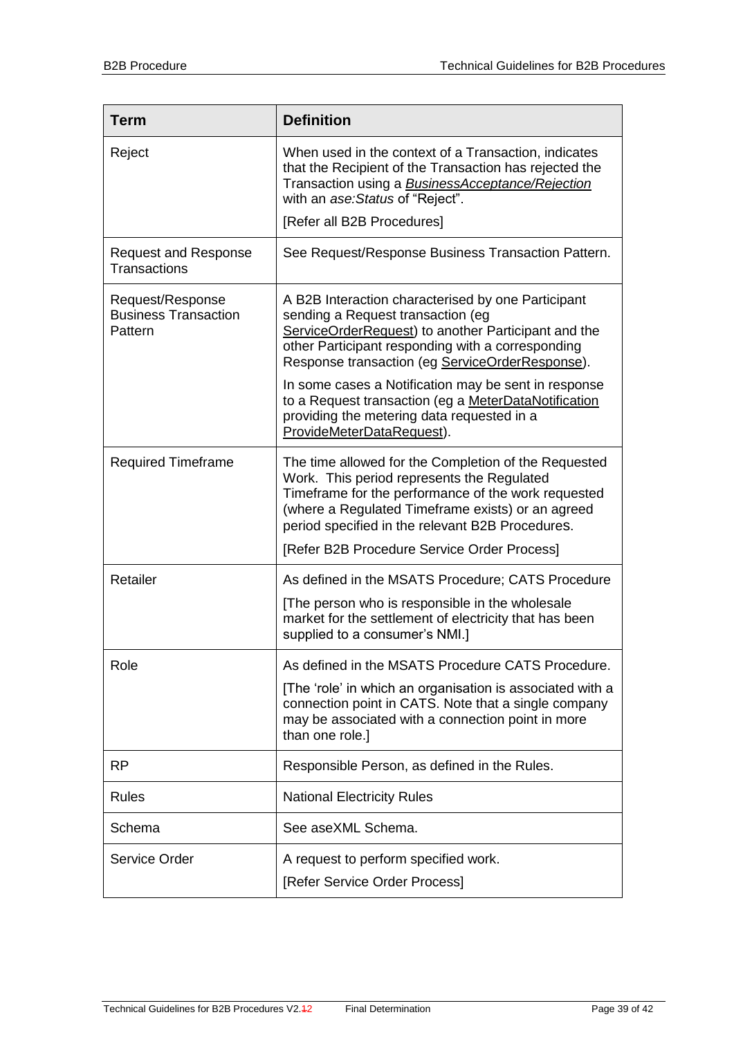| <b>Term</b>                                                | <b>Definition</b>                                                                                                                                                                                                                                                  |
|------------------------------------------------------------|--------------------------------------------------------------------------------------------------------------------------------------------------------------------------------------------------------------------------------------------------------------------|
| Reject                                                     | When used in the context of a Transaction, indicates<br>that the Recipient of the Transaction has rejected the<br>Transaction using a <b>BusinessAcceptance/Rejection</b><br>with an ase: Status of "Reject".                                                      |
|                                                            | [Refer all B2B Procedures]                                                                                                                                                                                                                                         |
| <b>Request and Response</b><br><b>Transactions</b>         | See Request/Response Business Transaction Pattern.                                                                                                                                                                                                                 |
| Request/Response<br><b>Business Transaction</b><br>Pattern | A B2B Interaction characterised by one Participant<br>sending a Request transaction (eg<br>ServiceOrderRequest) to another Participant and the<br>other Participant responding with a corresponding<br>Response transaction (eg ServiceOrderResponse).             |
|                                                            | In some cases a Notification may be sent in response<br>to a Request transaction (eg a MeterDataNotification<br>providing the metering data requested in a<br>ProvideMeterDataRequest).                                                                            |
| <b>Required Timeframe</b>                                  | The time allowed for the Completion of the Requested<br>Work. This period represents the Regulated<br>Timeframe for the performance of the work requested<br>(where a Regulated Timeframe exists) or an agreed<br>period specified in the relevant B2B Procedures. |
|                                                            | [Refer B2B Procedure Service Order Process]                                                                                                                                                                                                                        |
| Retailer                                                   | As defined in the MSATS Procedure; CATS Procedure                                                                                                                                                                                                                  |
|                                                            | [The person who is responsible in the wholesale<br>market for the settlement of electricity that has been<br>supplied to a consumer's NMI.]                                                                                                                        |
| Role                                                       | As defined in the MSATS Procedure CATS Procedure.                                                                                                                                                                                                                  |
|                                                            | [The 'role' in which an organisation is associated with a<br>connection point in CATS. Note that a single company<br>may be associated with a connection point in more<br>than one role.]                                                                          |
| <b>RP</b>                                                  | Responsible Person, as defined in the Rules.                                                                                                                                                                                                                       |
| <b>Rules</b>                                               | <b>National Electricity Rules</b>                                                                                                                                                                                                                                  |
| Schema                                                     | See aseXML Schema.                                                                                                                                                                                                                                                 |
| <b>Service Order</b>                                       | A request to perform specified work.<br>[Refer Service Order Process]                                                                                                                                                                                              |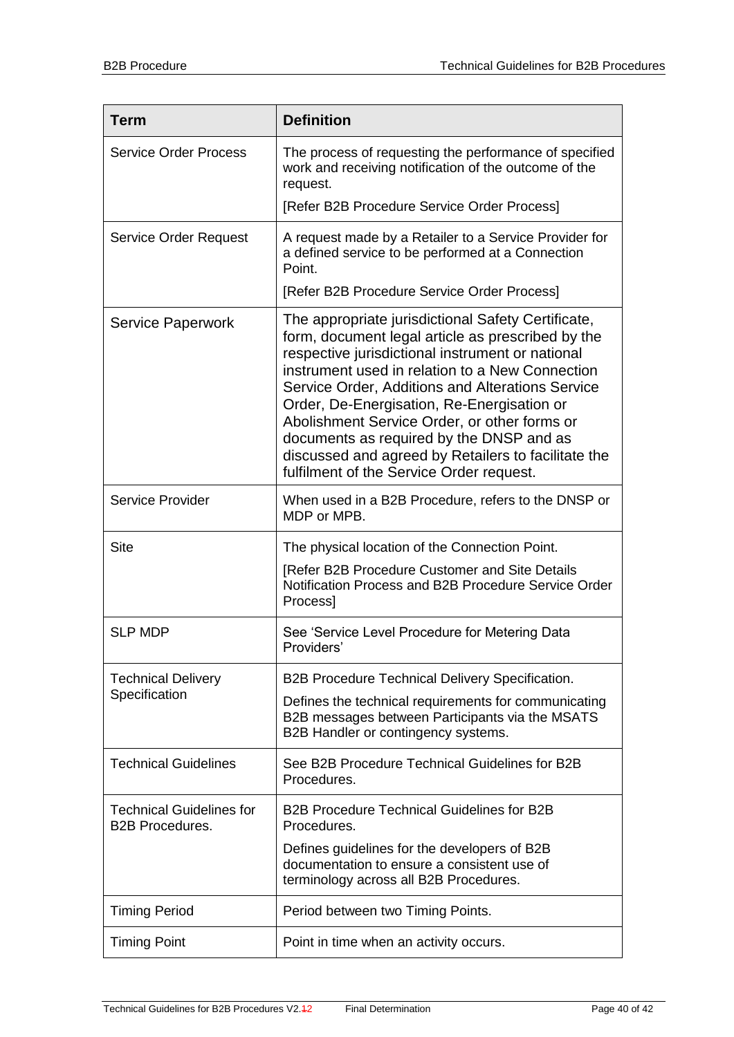| <b>Term</b>                                               | <b>Definition</b>                                                                                                                                                                                                                                                                                                                                                                                                                                                                                               |
|-----------------------------------------------------------|-----------------------------------------------------------------------------------------------------------------------------------------------------------------------------------------------------------------------------------------------------------------------------------------------------------------------------------------------------------------------------------------------------------------------------------------------------------------------------------------------------------------|
| <b>Service Order Process</b>                              | The process of requesting the performance of specified<br>work and receiving notification of the outcome of the<br>request.                                                                                                                                                                                                                                                                                                                                                                                     |
|                                                           | [Refer B2B Procedure Service Order Process]                                                                                                                                                                                                                                                                                                                                                                                                                                                                     |
| <b>Service Order Request</b>                              | A request made by a Retailer to a Service Provider for<br>a defined service to be performed at a Connection<br>Point.<br>[Refer B2B Procedure Service Order Process]                                                                                                                                                                                                                                                                                                                                            |
|                                                           |                                                                                                                                                                                                                                                                                                                                                                                                                                                                                                                 |
| <b>Service Paperwork</b>                                  | The appropriate jurisdictional Safety Certificate,<br>form, document legal article as prescribed by the<br>respective jurisdictional instrument or national<br>instrument used in relation to a New Connection<br>Service Order, Additions and Alterations Service<br>Order, De-Energisation, Re-Energisation or<br>Abolishment Service Order, or other forms or<br>documents as required by the DNSP and as<br>discussed and agreed by Retailers to facilitate the<br>fulfilment of the Service Order request. |
| <b>Service Provider</b>                                   | When used in a B2B Procedure, refers to the DNSP or<br>MDP or MPB.                                                                                                                                                                                                                                                                                                                                                                                                                                              |
| <b>Site</b>                                               | The physical location of the Connection Point.                                                                                                                                                                                                                                                                                                                                                                                                                                                                  |
|                                                           | [Refer B2B Procedure Customer and Site Details<br>Notification Process and B2B Procedure Service Order<br>Process]                                                                                                                                                                                                                                                                                                                                                                                              |
| <b>SLP MDP</b>                                            | See 'Service Level Procedure for Metering Data<br>Providers'                                                                                                                                                                                                                                                                                                                                                                                                                                                    |
| <b>Technical Delivery</b><br>Specification                | B2B Procedure Technical Delivery Specification.                                                                                                                                                                                                                                                                                                                                                                                                                                                                 |
|                                                           | Defines the technical requirements for communicating<br>B2B messages between Participants via the MSATS<br>B2B Handler or contingency systems.                                                                                                                                                                                                                                                                                                                                                                  |
| <b>Technical Guidelines</b>                               | See B2B Procedure Technical Guidelines for B2B<br>Procedures.                                                                                                                                                                                                                                                                                                                                                                                                                                                   |
| <b>Technical Guidelines for</b><br><b>B2B Procedures.</b> | <b>B2B Procedure Technical Guidelines for B2B</b><br>Procedures.                                                                                                                                                                                                                                                                                                                                                                                                                                                |
|                                                           | Defines guidelines for the developers of B2B<br>documentation to ensure a consistent use of<br>terminology across all B2B Procedures.                                                                                                                                                                                                                                                                                                                                                                           |
| <b>Timing Period</b>                                      | Period between two Timing Points.                                                                                                                                                                                                                                                                                                                                                                                                                                                                               |
| <b>Timing Point</b>                                       | Point in time when an activity occurs.                                                                                                                                                                                                                                                                                                                                                                                                                                                                          |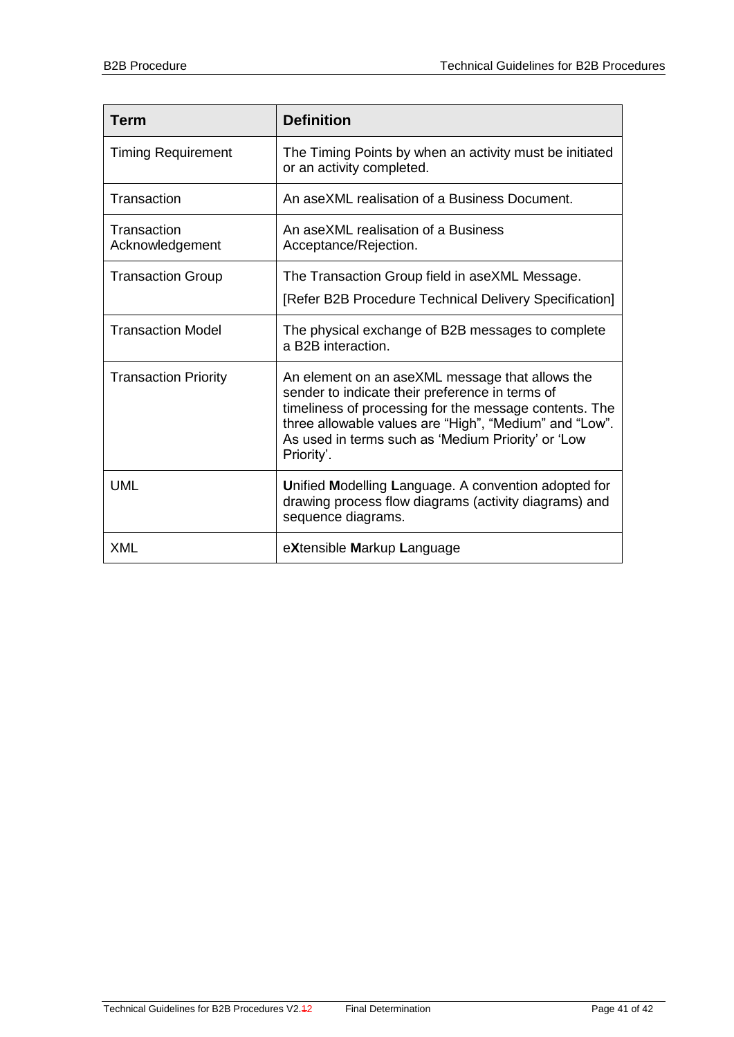| <b>Term</b>                    | <b>Definition</b>                                                                                                                                                                                                                                                                          |
|--------------------------------|--------------------------------------------------------------------------------------------------------------------------------------------------------------------------------------------------------------------------------------------------------------------------------------------|
| <b>Timing Requirement</b>      | The Timing Points by when an activity must be initiated<br>or an activity completed.                                                                                                                                                                                                       |
| Transaction                    | An aseXML realisation of a Business Document.                                                                                                                                                                                                                                              |
| Transaction<br>Acknowledgement | An aseXML realisation of a Business<br>Acceptance/Rejection.                                                                                                                                                                                                                               |
| <b>Transaction Group</b>       | The Transaction Group field in aseXML Message.                                                                                                                                                                                                                                             |
|                                | [Refer B2B Procedure Technical Delivery Specification]                                                                                                                                                                                                                                     |
| <b>Transaction Model</b>       | The physical exchange of B2B messages to complete<br>a B2B interaction.                                                                                                                                                                                                                    |
| <b>Transaction Priority</b>    | An element on an aseXML message that allows the<br>sender to indicate their preference in terms of<br>timeliness of processing for the message contents. The<br>three allowable values are "High", "Medium" and "Low".<br>As used in terms such as 'Medium Priority' or 'Low<br>Priority'. |
| <b>UML</b>                     | Unified Modelling Language. A convention adopted for<br>drawing process flow diagrams (activity diagrams) and<br>sequence diagrams.                                                                                                                                                        |
| <b>XML</b>                     | eXtensible Markup Language                                                                                                                                                                                                                                                                 |